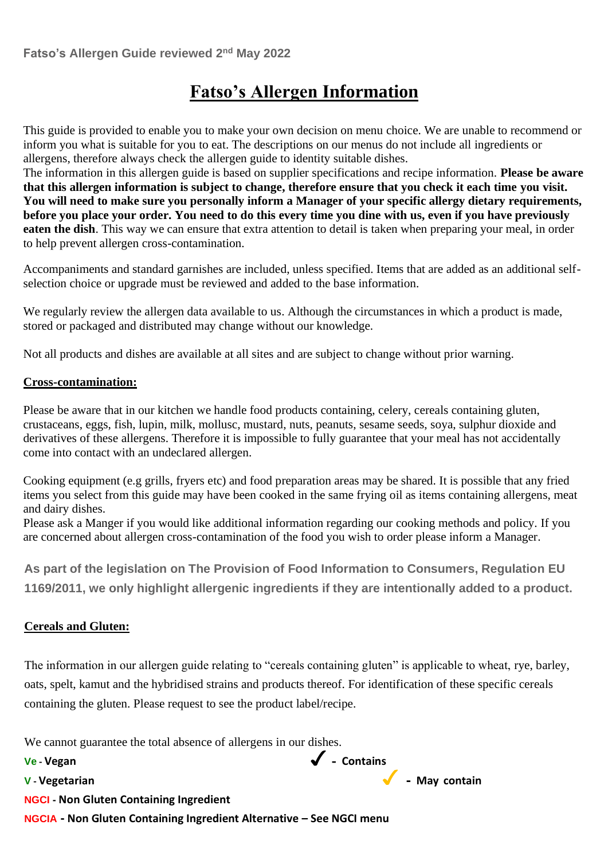# **Fatso's Allergen Information**

This guide is provided to enable you to make your own decision on menu choice. We are unable to recommend or inform you what is suitable for you to eat. The descriptions on our menus do not include all ingredients or allergens, therefore always check the allergen guide to identity suitable dishes.

The information in this allergen guide is based on supplier specifications and recipe information. **Please be aware that this allergen information is subject to change, therefore ensure that you check it each time you visit. You will need to make sure you personally inform a Manager of your specific allergy dietary requirements, before you place your order. You need to do this every time you dine with us, even if you have previously eaten the dish**. This way we can ensure that extra attention to detail is taken when preparing your meal, in order to help prevent allergen cross-contamination.

Accompaniments and standard garnishes are included, unless specified. Items that are added as an additional selfselection choice or upgrade must be reviewed and added to the base information.

We regularly review the allergen data available to us. Although the circumstances in which a product is made, stored or packaged and distributed may change without our knowledge.

Not all products and dishes are available at all sites and are subject to change without prior warning.

#### **Cross-contamination:**

Please be aware that in our kitchen we handle food products containing, celery, cereals containing gluten, crustaceans, eggs, fish, lupin, milk, mollusc, mustard, nuts, peanuts, sesame seeds, soya, sulphur dioxide and derivatives of these allergens. Therefore it is impossible to fully guarantee that your meal has not accidentally come into contact with an undeclared allergen.

Cooking equipment (e.g grills, fryers etc) and food preparation areas may be shared. It is possible that any fried items you select from this guide may have been cooked in the same frying oil as items containing allergens, meat and dairy dishes.

Please ask a Manger if you would like additional information regarding our cooking methods and policy. If you are concerned about allergen cross-contamination of the food you wish to order please inform a Manager.

**As part of the legislation on The Provision of Food Information to Consumers, Regulation EU 1169/2011, we only highlight allergenic ingredients if they are intentionally added to a product.** 

#### **Cereals and Gluten:**

The information in our allergen guide relating to "cereals containing gluten" is applicable to wheat, rye, barley, oats, spelt, kamut and the hybridised strains and products thereof. For identification of these specific cereals containing the gluten. Please request to see the product label/recipe.

We cannot guarantee the total absence of allergens in our dishes.

**Ve - Vegan** ✓ - **Contains**

**<sup>V</sup> - Vegetarian** ✓- **May contain**

**NGCI - Non Gluten Containing Ingredient**

**NGCIA - Non Gluten Containing Ingredient Alternative – See NGCI menu**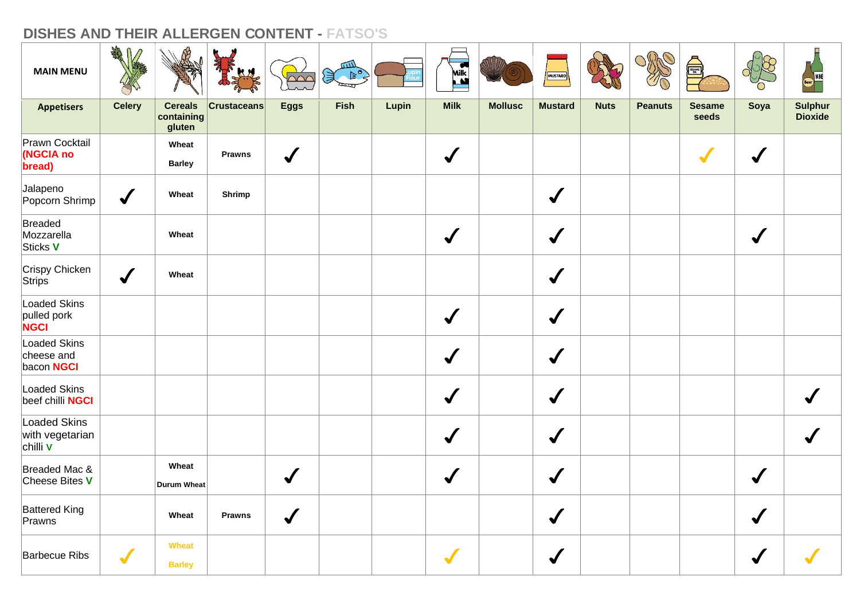| <b>MAIN MENU</b>                                   | Aff              |                                        |                    | $\sim$       | шIJ<br>$rac{1}{\sqrt{2}}$ |       | <b>EXER</b>          |                | MUSTARD        |             |                | <b>SEAME</b>           |                      |                                  |
|----------------------------------------------------|------------------|----------------------------------------|--------------------|--------------|---------------------------|-------|----------------------|----------------|----------------|-------------|----------------|------------------------|----------------------|----------------------------------|
| <b>Appetisers</b>                                  | <b>Celery</b>    | <b>Cereals</b><br>containing<br>gluten | <b>Crustaceans</b> | <b>Eggs</b>  | <b>Fish</b>               | Lupin | <b>Milk</b>          | <b>Mollusc</b> | <b>Mustard</b> | <b>Nuts</b> | <b>Peanuts</b> | <b>Sesame</b><br>seeds | Soya                 | <b>Sulphur</b><br><b>Dioxide</b> |
| Prawn Cocktail<br>(NGCIA no<br>bread)              |                  | Wheat<br><b>Barley</b>                 | <b>Prawns</b>      | $\checkmark$ |                           |       | $\sqrt{ }$           |                |                |             |                | $\sqrt{}$              | $\checkmark$         |                                  |
| Jalapeno<br>Popcorn Shrimp                         | $\checkmark$     | Wheat                                  | Shrimp             |              |                           |       |                      |                | $\checkmark$   |             |                |                        |                      |                                  |
| Breaded<br>Mozzarella<br>Sticks V                  |                  | Wheat                                  |                    |              |                           |       | $\checkmark$         |                | $\checkmark$   |             |                |                        | $\sqrt{\frac{1}{2}}$ |                                  |
| Crispy Chicken<br>Strips                           | $\boldsymbol{J}$ | Wheat                                  |                    |              |                           |       |                      |                | $\checkmark$   |             |                |                        |                      |                                  |
| Loaded Skins<br>pulled pork<br><b>NGCI</b>         |                  |                                        |                    |              |                           |       | $\sqrt{2}$           |                | $\checkmark$   |             |                |                        |                      |                                  |
| Loaded Skins<br>cheese and<br>bacon NGCI           |                  |                                        |                    |              |                           |       | $\sqrt{\frac{1}{2}}$ |                | $\checkmark$   |             |                |                        |                      |                                  |
| Loaded Skins<br>beef chilli NGCI                   |                  |                                        |                    |              |                           |       | $\checkmark$         |                | $\checkmark$   |             |                |                        |                      |                                  |
| Loaded Skins<br>with vegetarian<br>chilli <b>v</b> |                  |                                        |                    |              |                           |       | $\checkmark$         |                | $\checkmark$   |             |                |                        |                      |                                  |
| Breaded Mac &<br>Cheese Bites V                    |                  | Wheat<br><b>Durum Wheat</b>            |                    | $\checkmark$ |                           |       | $\sqrt{2}$           |                | $\checkmark$   |             |                |                        | $\sqrt{2}$           |                                  |
| <b>Battered King</b><br>Prawns                     |                  | Wheat                                  | <b>Prawns</b>      | $\checkmark$ |                           |       |                      |                | $\checkmark$   |             |                |                        | $\checkmark$         |                                  |
| <b>Barbecue Ribs</b>                               | $\sqrt{}$        | Wheat<br><b>Barley</b>                 |                    |              |                           |       |                      |                | $\checkmark$   |             |                |                        |                      |                                  |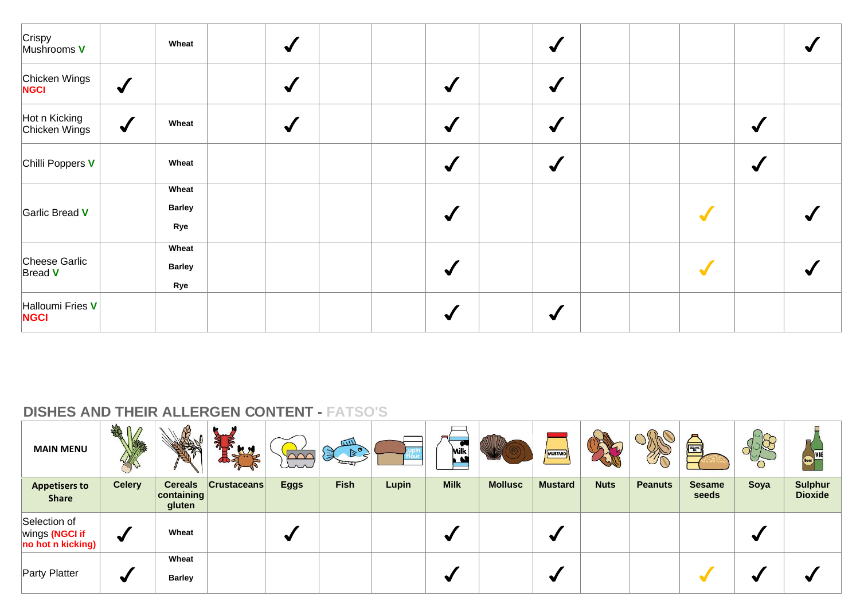| Crispy<br>Mushrooms <b>V</b>    |              | Wheat                         | $\checkmark$    |  |                      | $\checkmark$    |  |           |                      |  |
|---------------------------------|--------------|-------------------------------|-----------------|--|----------------------|-----------------|--|-----------|----------------------|--|
| Chicken Wings                   | $\checkmark$ |                               | $\blacklozenge$ |  | $\blacktriangledown$ | $\blacklozenge$ |  |           |                      |  |
| Hot n Kicking<br>Chicken Wings  | $\bigvee$    | Wheat                         | $\bigvee$       |  | $\blacktriangledown$ | $\blacklozenge$ |  |           | $\blacktriangledown$ |  |
| Chilli Poppers V                |              | Wheat                         |                 |  | $\blacktriangledown$ | $\blacklozenge$ |  |           | $\blacklozenge$      |  |
| Garlic Bread V                  |              | Wheat<br><b>Barley</b><br>Rye |                 |  | $\blacktriangledown$ |                 |  | $\bullet$ |                      |  |
| Cheese Garlic<br>Bread V        |              | Wheat<br><b>Barley</b><br>Rye |                 |  | $\blacktriangledown$ |                 |  |           |                      |  |
| Halloumi Fries V<br><b>NGCI</b> |              |                               |                 |  | ✔                    | $\blacklozenge$ |  |           |                      |  |

| <b>MAIN MENU</b>                                    | <b>THE</b>           |                                                | $\boldsymbol{\tau}$<br><b>KM</b> | arr         | $\sqrt{111}$<br>$\mathbb{R}^{\circ}$<br>溟 |       | ∽<br>Milk<br>A. |                | MUSTARD        |             | <b>SAS</b>     | <b>SESAME</b>          | O    |                                  |
|-----------------------------------------------------|----------------------|------------------------------------------------|----------------------------------|-------------|-------------------------------------------|-------|-----------------|----------------|----------------|-------------|----------------|------------------------|------|----------------------------------|
| <b>Appetisers to</b><br><b>Share</b>                | <b>Celery</b>        | <b>Cereals</b><br>$ $ containing $ $<br>gluten | <b>Crustaceans</b>               | <b>Eggs</b> | <b>Fish</b>                               | Lupin | <b>Milk</b>     | <b>Mollusc</b> | <b>Mustard</b> | <b>Nuts</b> | <b>Peanuts</b> | <b>Sesame</b><br>seeds | Soya | <b>Sulphur</b><br><b>Dioxide</b> |
| Selection of<br>wings (NGCI if<br>no hot n kicking) | $\blacktriangleleft$ | Wheat                                          |                                  | ₩           |                                           |       |                 |                | ∾              |             |                |                        |      |                                  |
| <b>Party Platter</b>                                | ✔                    | Wheat<br><b>Barley</b>                         |                                  |             |                                           |       |                 |                | ₩              |             |                |                        |      |                                  |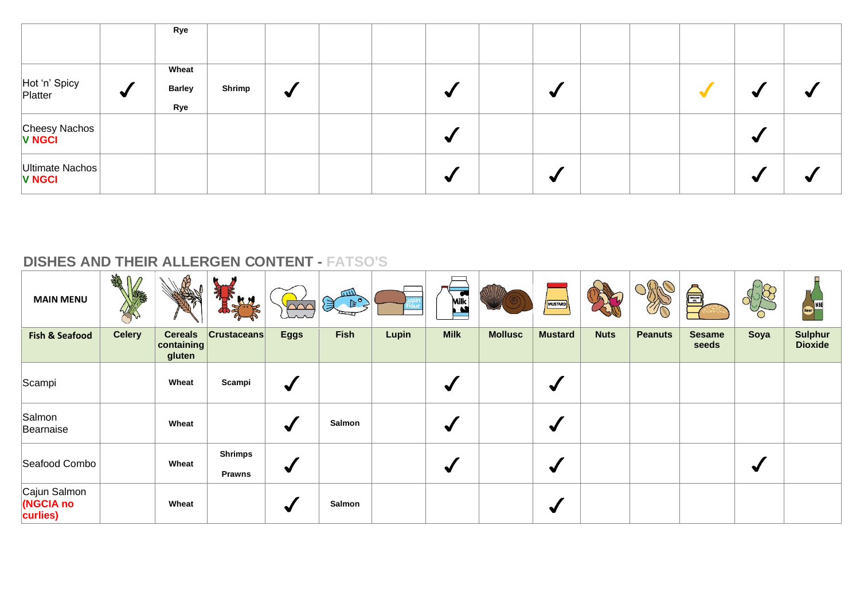|                                  |                      | Rye                  |        |   |  |   |   |  |  |  |
|----------------------------------|----------------------|----------------------|--------|---|--|---|---|--|--|--|
|                                  |                      | Wheat                |        |   |  |   |   |  |  |  |
| Hot 'n' Spicy<br>Platter         | $\blacktriangleleft$ | <b>Barley</b><br>Rye | Shrimp | √ |  | ₩ | ✔ |  |  |  |
| Cheesy Nachos<br><b>V NGCI</b>   |                      |                      |        |   |  | ₩ |   |  |  |  |
| Ultimate Nachos<br><b>V NGCI</b> |                      |                      |        |   |  | ₩ | ✔ |  |  |  |

| <b>MAIN MENU</b>                            | AM            |                                        | 乳<br>KN                         | $\Omega$        | mл<br>$\left( \frac{1}{2} \right)^{\frac{1}{2}}$ |       | Milk<br>$\mathbf{v}$ |                | MUSTARD              |             |                | <b>Exite</b>           |      |                                  |
|---------------------------------------------|---------------|----------------------------------------|---------------------------------|-----------------|--------------------------------------------------|-------|----------------------|----------------|----------------------|-------------|----------------|------------------------|------|----------------------------------|
| <b>Fish &amp; Seafood</b>                   | <b>Celery</b> | <b>Cereals</b><br>containing<br>gluten | <b>Crustaceans</b>              | <b>Eggs</b>     | <b>Fish</b>                                      | Lupin | <b>Milk</b>          | <b>Mollusc</b> | <b>Mustard</b>       | <b>Nuts</b> | <b>Peanuts</b> | <b>Sesame</b><br>seeds | Soya | <b>Sulphur</b><br><b>Dioxide</b> |
| Scampi                                      |               | Wheat                                  | Scampi                          | $\blacklozenge$ |                                                  |       | ✔                    |                | ✔                    |             |                |                        |      |                                  |
| Salmon<br>Bearnaise                         |               | Wheat                                  |                                 | $\blacklozenge$ | Salmon                                           |       | ✔                    |                | $\blacktriangledown$ |             |                |                        |      |                                  |
| Seafood Combo                               |               | Wheat                                  | <b>Shrimps</b><br><b>Prawns</b> | $\blacklozenge$ |                                                  |       | ✔                    |                | $\blacktriangledown$ |             |                |                        | v    |                                  |
| Cajun Salmon<br><b>NGCIA</b> no<br>curlies) |               | Wheat                                  |                                 | $\blacklozenge$ | Salmon                                           |       |                      |                | √                    |             |                |                        |      |                                  |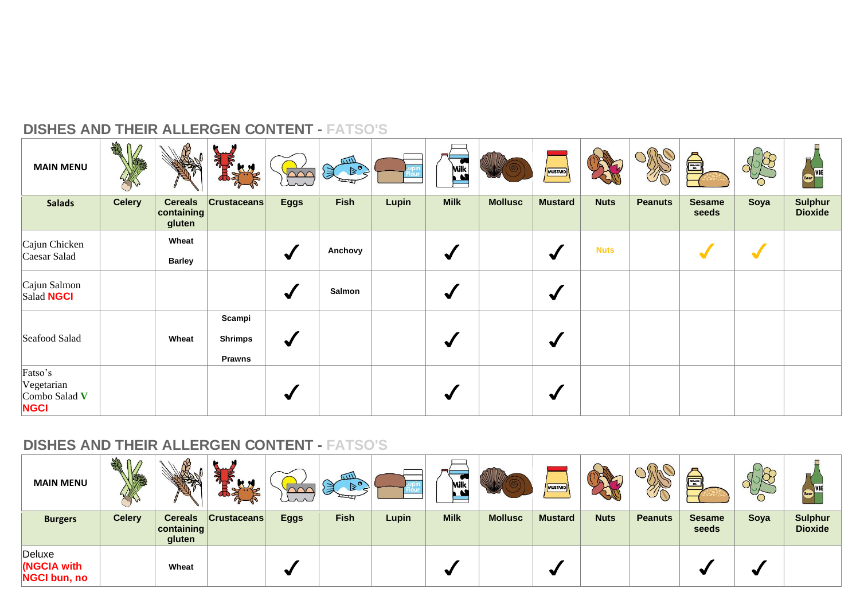| <b>MAIN MENU</b>                                      | <b>SHAR</b>   |                                        | 亂<br>Ly                                   |                 | mл<br>$\left\{ \begin{array}{c} \mathbb{Z} \\ \mathbb{Z} \end{array} \right\}$ |       | <b>Milk</b> |                | <b>MUSTARD</b>       |             | IJſ            | A                      |      | Beer WINE                        |
|-------------------------------------------------------|---------------|----------------------------------------|-------------------------------------------|-----------------|--------------------------------------------------------------------------------|-------|-------------|----------------|----------------------|-------------|----------------|------------------------|------|----------------------------------|
| <b>Salads</b>                                         | <b>Celery</b> | <b>Cereals</b><br>containing<br>gluten | <b>Crustaceans</b>                        | <b>Eggs</b>     | <b>Fish</b>                                                                    | Lupin | <b>Milk</b> | <b>Mollusc</b> | <b>Mustard</b>       | <b>Nuts</b> | <b>Peanuts</b> | <b>Sesame</b><br>seeds | Soya | <b>Sulphur</b><br><b>Dioxide</b> |
| Cajun Chicken<br>Caesar Salad                         |               | Wheat<br><b>Barley</b>                 |                                           | $\blacklozenge$ | Anchovy                                                                        |       | ₩           |                | $\blacktriangledown$ | <b>Nuts</b> |                |                        |      |                                  |
| Cajun Salmon<br>Salad <b>NGCI</b>                     |               |                                        |                                           | $\blacklozenge$ | Salmon                                                                         |       | √           |                | $\blacktriangledown$ |             |                |                        |      |                                  |
| Seafood Salad                                         |               | Wheat                                  | Scampi<br><b>Shrimps</b><br><b>Prawns</b> | $\blacklozenge$ |                                                                                |       | ₩           |                | $\blacktriangledown$ |             |                |                        |      |                                  |
| Fatso's<br>Vegetarian<br>Combo Salad V<br><b>NGCI</b> |               |                                        |                                           | $\blacklozenge$ |                                                                                |       |             |                | $\blacktriangledown$ |             |                |                        |      |                                  |

| <b>MAIN MENU</b>                             | N<br>$\sqrt{2}$ |                                                | A<br><b>R</b> H<br>$\partial_{\alpha}$ | تمتلكا      | ūШ<br>$\geq$<br>貝 |              | Milk<br>M   |                | MUSTARD        |             | $\mathscr{D}_{\overline{C}}$ | <b>SESAME</b>          | ◡    | <b>Beer</b>                      |
|----------------------------------------------|-----------------|------------------------------------------------|----------------------------------------|-------------|-------------------|--------------|-------------|----------------|----------------|-------------|------------------------------|------------------------|------|----------------------------------|
| <b>Burgers</b>                               | <b>Celery</b>   | <b>Cereals</b><br>$ $ containing $ $<br>gluten | <b>Crustaceans</b>                     | <b>Eggs</b> | <b>Fish</b>       | <b>Lupin</b> | <b>Milk</b> | <b>Mollusc</b> | <b>Mustard</b> | <b>Nuts</b> | <b>Peanuts</b>               | <b>Sesame</b><br>seeds | Soya | <b>Sulphur</b><br><b>Dioxide</b> |
| Deluxe<br>(NGCIA with<br><b>NGCI bun, no</b> |                 | Wheat                                          |                                        |             |                   |              |             |                | $\bullet$      |             |                              |                        |      |                                  |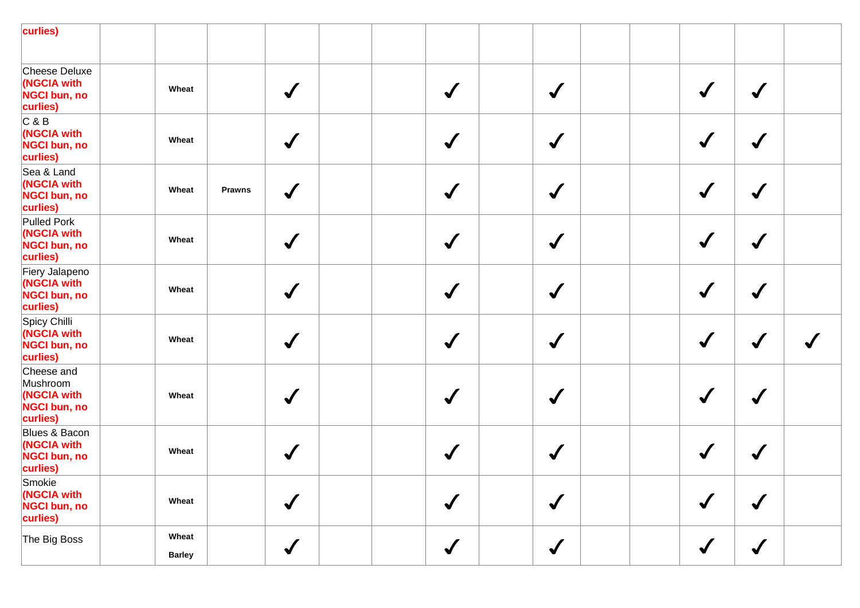| curlies)                                                                 |                        |               |                 |  |                      |                 |  |                      |                      |  |
|--------------------------------------------------------------------------|------------------------|---------------|-----------------|--|----------------------|-----------------|--|----------------------|----------------------|--|
| Cheese Deluxe<br>(NGCIA with<br><b>NGCI bun, no</b><br>curlies)          | Wheat                  |               | $\checkmark$    |  | $\checkmark$         | $\checkmark$    |  | $\checkmark$         | $\checkmark$         |  |
| C & B<br>(NGCIA with<br><b>NGCI bun, no</b><br>curlies)                  | Wheat                  |               | $\bigvee$       |  | $\blacktriangledown$ | $\blacklozenge$ |  | $\blacklozenge$      | $\blacktriangledown$ |  |
| Sea & Land<br>(NGCIA with<br><b>NGCI bun, no</b><br>curlies)             | Wheat                  | <b>Prawns</b> | $\blacklozenge$ |  | $\checkmark$         | $\blacklozenge$ |  | $\checkmark$         | $\checkmark$         |  |
| <b>Pulled Pork</b><br>(NGCIA with<br><b>NGCI bun, no</b><br>curlies)     | Wheat                  |               | $\bigvee$       |  | $\blacktriangledown$ | $\blacklozenge$ |  | $\checkmark$         | $\checkmark$         |  |
| Fiery Jalapeno<br>(NGCIA with<br><b>NGCI bun, no</b><br>curlies)         | Wheat                  |               | $\checkmark$    |  | $\checkmark$         | $\blacklozenge$ |  | $\blacklozenge$      | $\checkmark$         |  |
| Spicy Chilli<br>(NGCIA with<br><b>NGCI bun, no</b><br>curlies)           | Wheat                  |               | $\bigvee$       |  | $\checkmark$         | $\blacklozenge$ |  |                      |                      |  |
| Cheese and<br>Mushroom<br>(NGCIA with<br><b>NGCI bun, no</b><br>curlies) | Wheat                  |               | $\checkmark$    |  | $\checkmark$         | $\blacklozenge$ |  |                      | $\sqrt{2}$           |  |
| Blues & Bacon<br>(NGCIA with<br>NGCI bun, no<br>curlies)                 | Wheat                  |               | $\checkmark$    |  | $\checkmark$         | $\checkmark$    |  |                      | $\checkmark$         |  |
| Smokie<br>(NGCIA with<br>NGCI bun, no<br>curlies)                        | Wheat                  |               | $\sqrt{ }$      |  | $\checkmark$         | $\blacklozenge$ |  | $\sqrt{\frac{1}{2}}$ | $\sqrt{2}$           |  |
| The Big Boss                                                             | Wheat<br><b>Barley</b> |               | $\checkmark$    |  | $\checkmark$         | $\checkmark$    |  | $\checkmark$         | $\checkmark$         |  |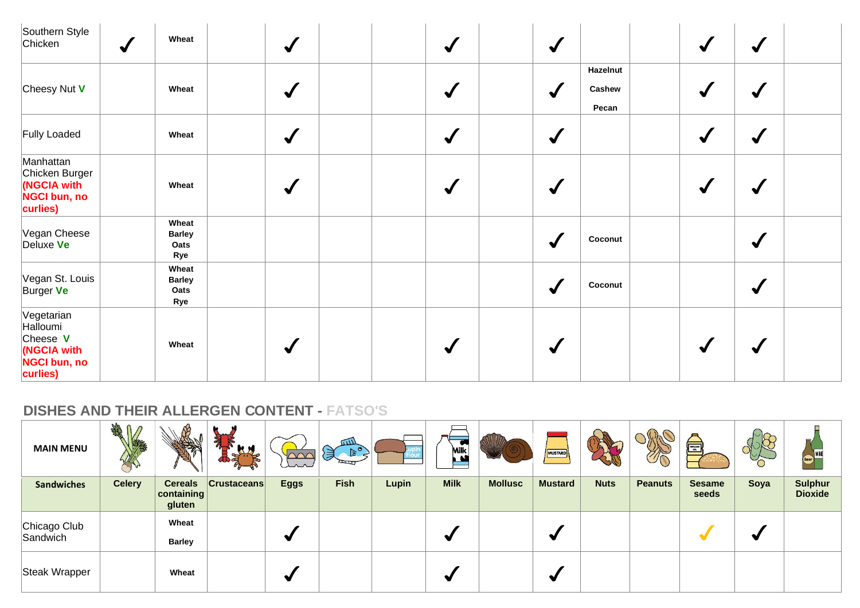| Southern Style<br>Chicken<br>$\sqrt{}$                                               | Wheat                                 | $\blacklozenge$ | $\checkmark$         | $\blacktriangledown$                                | $\blacktriangledown$<br>$\checkmark$ |  |
|--------------------------------------------------------------------------------------|---------------------------------------|-----------------|----------------------|-----------------------------------------------------|--------------------------------------|--|
| Cheesy Nut V                                                                         | Wheat                                 | $\checkmark$    | $\blacktriangledown$ | Hazelnut<br>Cashew<br>$\blacktriangledown$<br>Pecan | J                                    |  |
| Fully Loaded                                                                         | Wheat                                 | $\checkmark$    | $\checkmark$         | $\blacklozenge$                                     | $\checkmark$<br>$\checkmark$         |  |
| Manhattan<br>Chicken Burger<br>(NGCIA with<br><b>NGCI bun, no</b><br>curlies)        | Wheat                                 | $\checkmark$    | $\blacktriangledown$ | $\blacktriangledown$                                | √                                    |  |
| Vegan Cheese<br>Deluxe Ve                                                            | Wheat<br><b>Barley</b><br>Oats<br>Rye |                 |                      | Coconut<br>$\blacktriangledown$                     | ✔                                    |  |
| Vegan St. Louis<br>Burger Ve                                                         | Wheat<br><b>Barley</b><br>Oats<br>Rye |                 |                      | Coconut<br>$\blacklozenge$                          | $\checkmark$                         |  |
| Vegetarian<br>Halloumi<br>Cheese V<br>(NGCIA with<br><b>NGCI bun, no</b><br>curlies) | Wheat                                 | $\checkmark$    | $\blacktriangledown$ | $\blacktriangledown$                                | $\checkmark$<br>$\sqrt{}$            |  |

| <b>MAIN MENU</b>         | <b>SHAR</b>   |                                                | <b>KM</b>          | un          | <b>GILL</b><br>$B_0$<br>溑 |       | ∽<br>Milk<br>$\mathbf{A}$ |                | MUSTARD        |             | SO CO          | <b>ENGINE</b>          | Ő    | $\Rightarrow$                    |
|--------------------------|---------------|------------------------------------------------|--------------------|-------------|---------------------------|-------|---------------------------|----------------|----------------|-------------|----------------|------------------------|------|----------------------------------|
| <b>Sandwiches</b>        | <b>Celery</b> | <b>Cereals</b><br>$ $ containing $ $<br>gluten | <b>Crustaceans</b> | <b>Eggs</b> | <b>Fish</b>               | Lupin | <b>Milk</b>               | <b>Mollusc</b> | <b>Mustard</b> | <b>Nuts</b> | <b>Peanuts</b> | <b>Sesame</b><br>seeds | Soya | <b>Sulphur</b><br><b>Dioxide</b> |
| Chicago Club<br>Sandwich |               | Wheat<br><b>Barley</b>                         |                    | ₩           |                           |       |                           |                | ₩              |             |                |                        |      |                                  |
| Steak Wrapper            |               | Wheat                                          |                    | ₩           |                           |       |                           |                | ₩              |             |                |                        |      |                                  |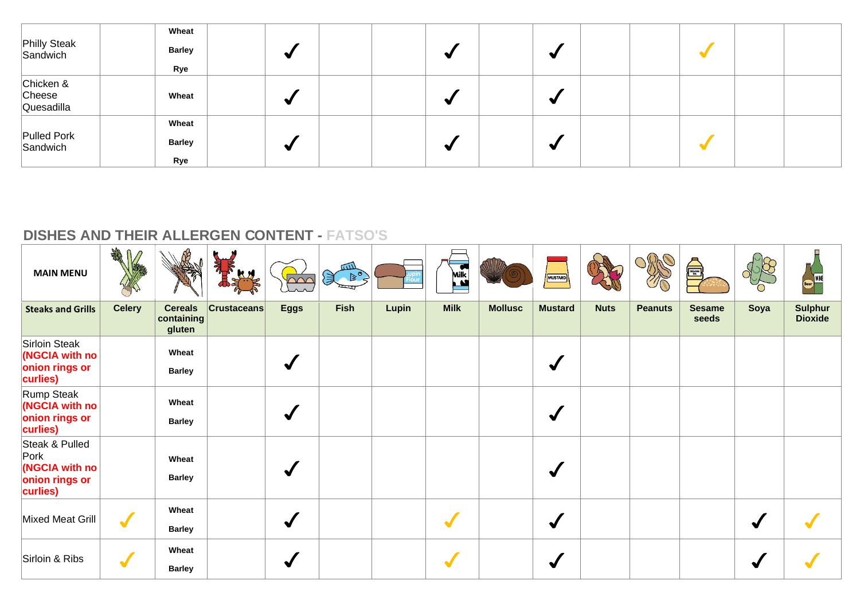| Philly Steak<br>Sandwich          | Wheat<br><b>Barley</b><br>Rye | ₩ | $\sim$ | ✔ |  |  |
|-----------------------------------|-------------------------------|---|--------|---|--|--|
| Chicken &<br>Cheese<br>Quesadilla | Wheat                         | ₩ |        | ✔ |  |  |
| Pulled Pork<br>Sandwich           | Wheat<br><b>Barley</b><br>Rye | ◀ | $\sim$ | √ |  |  |

| <b>MAIN MENU</b>                                                       | <b>ZARIO</b>         |                                        | $\mathbf{H}$       | $\sim$       | $\left( \begin{array}{c} \mathbb{R}^n \ \mathbb{R}^n \end{array} \right)$ |       | Milk<br>$\mathbf{M}$ |                | <b>MUSTARD</b>       |             |                | E                      |      | Beer)                            |
|------------------------------------------------------------------------|----------------------|----------------------------------------|--------------------|--------------|---------------------------------------------------------------------------|-------|----------------------|----------------|----------------------|-------------|----------------|------------------------|------|----------------------------------|
| <b>Steaks and Grills</b>                                               | <b>Celery</b>        | <b>Cereals</b><br>containing<br>gluten | <b>Crustaceans</b> | <b>Eggs</b>  | <b>Fish</b>                                                               | Lupin | <b>Milk</b>          | <b>Mollusc</b> | <b>Mustard</b>       | <b>Nuts</b> | <b>Peanuts</b> | <b>Sesame</b><br>seeds | Soya | <b>Sulphur</b><br><b>Dioxide</b> |
| <b>Sirloin Steak</b><br>(NGCIA with no<br>onion rings or<br>curlies)   |                      | Wheat<br><b>Barley</b>                 |                    |              |                                                                           |       |                      |                | $\blacktriangledown$ |             |                |                        |      |                                  |
| <b>Rump Steak</b><br>(NGCIA with no<br>onion rings or<br>curlies)      |                      | Wheat<br><b>Barley</b>                 |                    | $\checkmark$ |                                                                           |       |                      |                | $\blacktriangledown$ |             |                |                        |      |                                  |
| Steak & Pulled<br>Pork<br>(NGCIA with no<br>onion rings or<br>curlies) |                      | Wheat<br><b>Barley</b>                 |                    |              |                                                                           |       |                      |                | $\blacktriangledown$ |             |                |                        |      |                                  |
| <b>Mixed Meat Grill</b>                                                | $\blacktriangledown$ | Wheat<br><b>Barley</b>                 |                    |              |                                                                           |       | a.                   |                | $\blacklozenge$      |             |                |                        |      |                                  |
| Sirloin & Ribs                                                         | $\blacktriangledown$ | Wheat<br><b>Barley</b>                 |                    |              |                                                                           |       |                      |                | $\blacktriangledown$ |             |                |                        |      |                                  |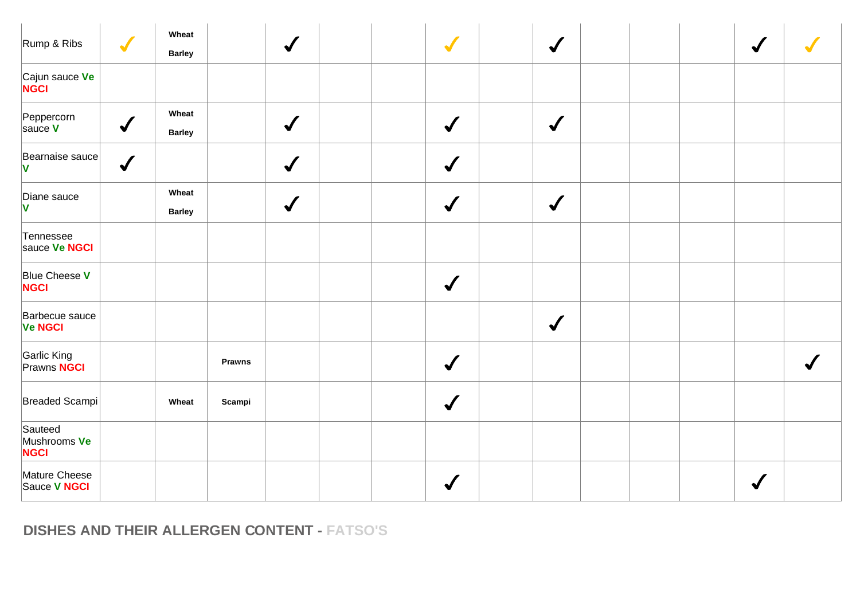| Rump & Ribs                             | $\blacktriangledown$ | Wheat<br><b>Barley</b> |               | $\sqrt{2}$   | $\sqrt{}$            | $\checkmark$    |  |  |  |
|-----------------------------------------|----------------------|------------------------|---------------|--------------|----------------------|-----------------|--|--|--|
| Cajun sauce Ve<br><b>NGCI</b>           |                      |                        |               |              |                      |                 |  |  |  |
| Peppercorn<br>sauce V                   | $\sqrt{2}$           | Wheat<br><b>Barley</b> |               | $\checkmark$ | $\checkmark$         | $\checkmark$    |  |  |  |
| Bearnaise sauce<br><b>V</b>             | $\checkmark$         |                        |               | $\checkmark$ | $\checkmark$         |                 |  |  |  |
| Diane sauce<br>V                        |                      | Wheat<br><b>Barley</b> |               | $\checkmark$ | $\checkmark$         | $\blacklozenge$ |  |  |  |
| Tennessee<br>sauce Ve NGCI              |                      |                        |               |              |                      |                 |  |  |  |
| Blue Cheese V<br><b>NGCI</b>            |                      |                        |               |              | $\sqrt{\frac{1}{2}}$ |                 |  |  |  |
| Barbecue sauce<br><b>Ve NGCI</b>        |                      |                        |               |              |                      | $\checkmark$    |  |  |  |
| Garlic King<br>Prawns <mark>NGCI</mark> |                      |                        | <b>Prawns</b> |              | $\sqrt{\frac{1}{2}}$ |                 |  |  |  |
| Breaded Scampi                          |                      | Wheat                  | Scampi        |              | $\sqrt{\frac{1}{2}}$ |                 |  |  |  |
| Sauteed<br>Mushrooms Ve<br><b>NGCI</b>  |                      |                        |               |              |                      |                 |  |  |  |
| Mature Cheese<br>Sauce V NGCI           |                      |                        |               |              |                      |                 |  |  |  |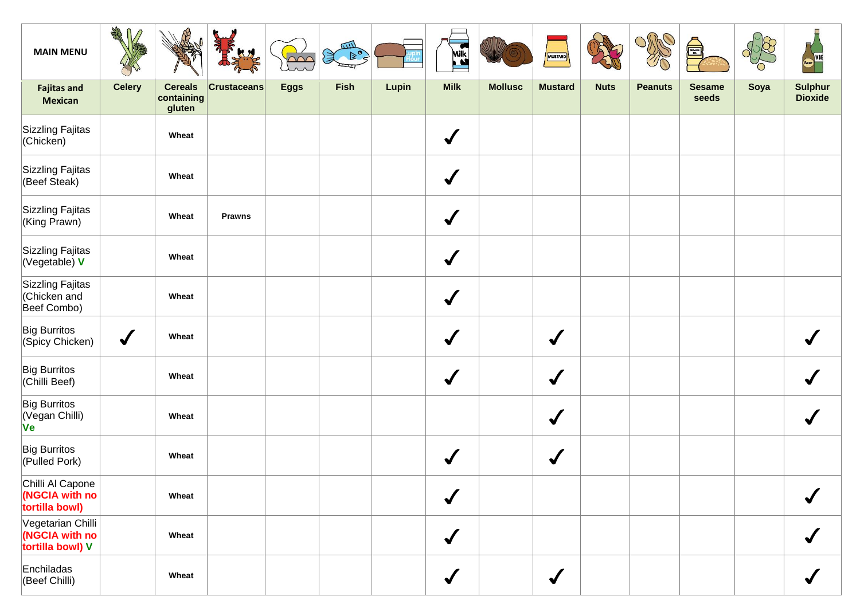| <b>MAIN MENU</b>                                        | AR            |                                        |                    | $\sim$      | 皿<br>$D^0$<br>実 |       | Milk<br>$\mathbf{r}$ |                | MUSTARD              |             |                | <b>SEAMS</b>           |      |                                  |
|---------------------------------------------------------|---------------|----------------------------------------|--------------------|-------------|-----------------|-------|----------------------|----------------|----------------------|-------------|----------------|------------------------|------|----------------------------------|
| <b>Fajitas and</b><br><b>Mexican</b>                    | <b>Celery</b> | <b>Cereals</b><br>containing<br>gluten | <b>Crustaceans</b> | <b>Eggs</b> | <b>Fish</b>     | Lupin | <b>Milk</b>          | <b>Mollusc</b> | <b>Mustard</b>       | <b>Nuts</b> | <b>Peanuts</b> | <b>Sesame</b><br>seeds | Soya | <b>Sulphur</b><br><b>Dioxide</b> |
| Sizzling Fajitas<br>(Chicken)                           |               | Wheat                                  |                    |             |                 |       | $\checkmark$         |                |                      |             |                |                        |      |                                  |
| Sizzling Fajitas<br>(Beef Steak)                        |               | Wheat                                  |                    |             |                 |       | $\checkmark$         |                |                      |             |                |                        |      |                                  |
| Sizzling Fajitas<br>King Prawn)                         |               | Wheat                                  | <b>Prawns</b>      |             |                 |       | $\checkmark$         |                |                      |             |                |                        |      |                                  |
| Sizzling Fajitas<br>(Vegetable) V                       |               | Wheat                                  |                    |             |                 |       | $\checkmark$         |                |                      |             |                |                        |      |                                  |
| Sizzling Fajitas<br>Chicken and<br>Beef Combo)          |               | Wheat                                  |                    |             |                 |       | $\checkmark$         |                |                      |             |                |                        |      |                                  |
| <b>Big Burritos</b><br>(Spicy Chicken)                  | $\sqrt{2}$    | Wheat                                  |                    |             |                 |       | $\checkmark$         |                | $\blacklozenge$      |             |                |                        |      |                                  |
| Big Burritos<br>(Chilli Beef)                           |               | Wheat                                  |                    |             |                 |       | $\blacktriangledown$ |                | $\blacklozenge$      |             |                |                        |      |                                  |
| Big Burritos<br>Vegan Chilli)<br><b>Ve</b>              |               | Wheat                                  |                    |             |                 |       |                      |                | $\blacklozenge$      |             |                |                        |      |                                  |
| Big Burritos<br>(Pulled Pork)                           |               | Wheat                                  |                    |             |                 |       | $\checkmark$         |                | $\blacklozenge$      |             |                |                        |      |                                  |
| Chilli Al Capone<br>(NGCIA with no<br>tortilla bowl)    |               | Wheat                                  |                    |             |                 |       | $\checkmark$         |                |                      |             |                |                        |      |                                  |
| Vegetarian Chilli<br>(NGCIA with no<br>tortilla bowl) V |               | Wheat                                  |                    |             |                 |       | $\checkmark$         |                |                      |             |                |                        |      |                                  |
| Enchiladas<br>(Beef Chilli)                             |               | Wheat                                  |                    |             |                 |       | $\checkmark$         |                | $\blacktriangledown$ |             |                |                        |      |                                  |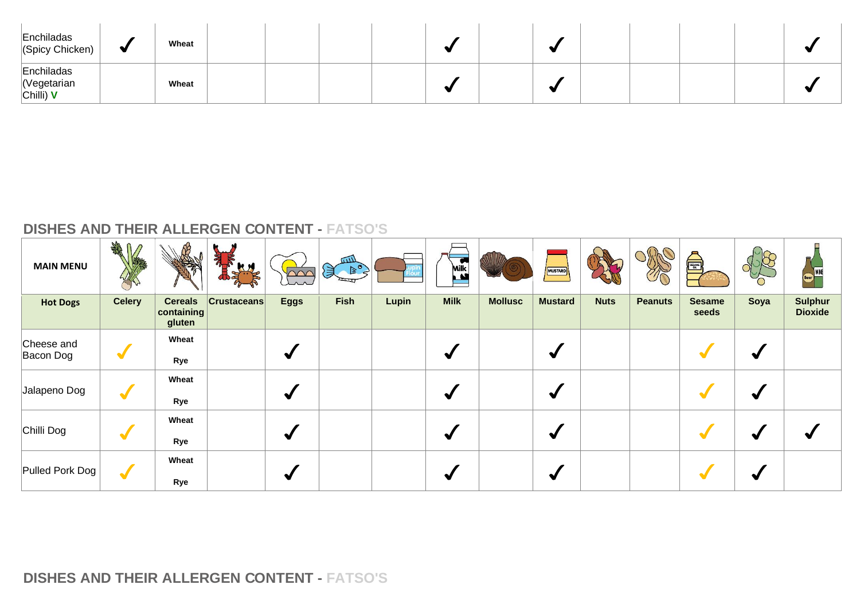| Enchiladas<br>(Spicy Chicken)            | ♥ | Wheat |  |  |  |  |  |  |
|------------------------------------------|---|-------|--|--|--|--|--|--|
| Enchiladas<br>Vegetarian<br>$ Chilli)$ V |   | Wheat |  |  |  |  |  |  |

| <b>MAIN MENU</b>        | <b>ARE</b><br>$\mathbb{M}$ | MAN                                    | 帚<br>KN            | $\Omega$             | mл<br>$\left\{ \begin{matrix} \mathbb{F}_{\mathbb{Q}} & \mathbb{F}_{\mathbb{Q}} \end{matrix} \right\}$ |       | <b>Milk</b> |                | MUSTARD              |             | $\mathcal{O}$  | S                      |      | IWN<br>Beer                      |
|-------------------------|----------------------------|----------------------------------------|--------------------|----------------------|--------------------------------------------------------------------------------------------------------|-------|-------------|----------------|----------------------|-------------|----------------|------------------------|------|----------------------------------|
| <b>Hot Dogs</b>         | <b>Celery</b>              | <b>Cereals</b><br>containing<br>gluten | <b>Crustaceans</b> | <b>Eggs</b>          | <b>Fish</b>                                                                                            | Lupin | <b>Milk</b> | <b>Mollusc</b> | <b>Mustard</b>       | <b>Nuts</b> | <b>Peanuts</b> | <b>Sesame</b><br>seeds | Soya | <b>Sulphur</b><br><b>Dioxide</b> |
| Cheese and<br>Bacon Dog | $\blacktriangledown$       | Wheat<br>Rye                           |                    | $\blacktriangledown$ |                                                                                                        |       | ₩           |                | ✔                    |             |                |                        |      |                                  |
| Jalapeno Dog            | $\blacktriangledown$       | Wheat<br>Rye                           |                    | $\blacktriangledown$ |                                                                                                        |       | ∾           |                | $\blacktriangledown$ |             |                |                        |      |                                  |
| Chilli Dog              | $\blacktriangledown$       | Wheat<br>Rye                           |                    | $\blacklozenge$      |                                                                                                        |       |             |                | $\blacktriangledown$ |             |                |                        |      |                                  |
| Pulled Pork Dog         | $\blacktriangledown$       | Wheat<br>Rye                           |                    | ✔                    |                                                                                                        |       |             |                | ✔                    |             |                |                        |      |                                  |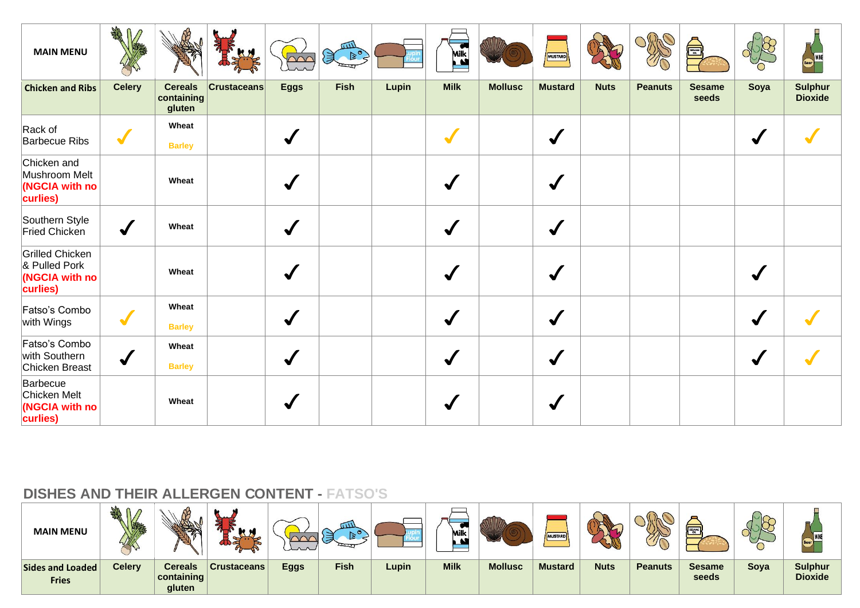| <b>MAIN MENU</b>                                                      | A                    |                                        |                    | $\sim$       | шIJ<br>$\mathbb{R}^{\circ}$<br>ぼ |       | $\bullet$<br><b>Milk</b> |                | MUSTARD              |             |                | <b>REACT</b>           |              | WINE                             |
|-----------------------------------------------------------------------|----------------------|----------------------------------------|--------------------|--------------|----------------------------------|-------|--------------------------|----------------|----------------------|-------------|----------------|------------------------|--------------|----------------------------------|
| <b>Chicken and Ribs</b>                                               | <b>Celery</b>        | <b>Cereals</b><br>containing<br>gluten | <b>Crustaceans</b> | <b>Eggs</b>  | <b>Fish</b>                      | Lupin | <b>Milk</b>              | <b>Mollusc</b> | <b>Mustard</b>       | <b>Nuts</b> | <b>Peanuts</b> | <b>Sesame</b><br>seeds | Soya         | <b>Sulphur</b><br><b>Dioxide</b> |
| Rack of<br><b>Barbecue Ribs</b>                                       | $\blacktriangledown$ | Wheat<br><b>Barley</b>                 |                    | $\checkmark$ |                                  |       | $\blacktriangleright$    |                | $\blacktriangledown$ |             |                |                        | $\checkmark$ |                                  |
| Chicken and<br>Mushroom Melt<br>(NGCIA with no<br>curlies)            |                      | Wheat                                  |                    |              |                                  |       |                          |                | J                    |             |                |                        |              |                                  |
| Southern Style<br>Fried Chicken                                       | $\checkmark$         | Wheat                                  |                    | $\checkmark$ |                                  |       | $\blacktriangledown$     |                | $\checkmark$         |             |                |                        |              |                                  |
| <b>Grilled Chicken</b><br>& Pulled Pork<br>(NGCIA with no<br>curlies) |                      | Wheat                                  |                    | $\checkmark$ |                                  |       |                          |                | $\blacktriangledown$ |             |                |                        |              |                                  |
| Fatso's Combo<br>with Wings                                           | $\blacktriangledown$ | Wheat<br><b>Barley</b>                 |                    | $\checkmark$ |                                  |       |                          |                | $\checkmark$         |             |                |                        | $\checkmark$ |                                  |
| Fatso's Combo<br>with Southern<br>Chicken Breast                      | $\checkmark$         | Wheat<br><b>Barley</b>                 |                    | $\checkmark$ |                                  |       | √                        |                | $\blacktriangledown$ |             |                |                        | √            |                                  |
| Barbecue<br>Chicken Melt<br>(NGCIA with no<br>curlies)                |                      | Wheat                                  |                    |              |                                  |       |                          |                | $\checkmark$         |             |                |                        |              |                                  |

| <b>MAIN MENU</b>                 |               |                                                 | -<br><b>M</b> M    | $\sim$      | <b>TIV</b>  |       | ∽<br>Milk<br>$\mathbf{A}$ |                | MUSTARD        |             | $\eta$         | sesawe                 | $\sim$ |                                  |
|----------------------------------|---------------|-------------------------------------------------|--------------------|-------------|-------------|-------|---------------------------|----------------|----------------|-------------|----------------|------------------------|--------|----------------------------------|
| Sides and Loaded<br><b>Fries</b> | <b>Celery</b> | Cereals<br>$\vert$ containing $\vert$<br>gluten | <b>Crustaceans</b> | <b>Eggs</b> | <b>Fish</b> | Lupin | <b>Milk</b>               | <b>Mollusc</b> | <b>Mustard</b> | <b>Nuts</b> | <b>Peanuts</b> | <b>Sesame</b><br>seeds | Soya   | <b>Sulphur</b><br><b>Dioxide</b> |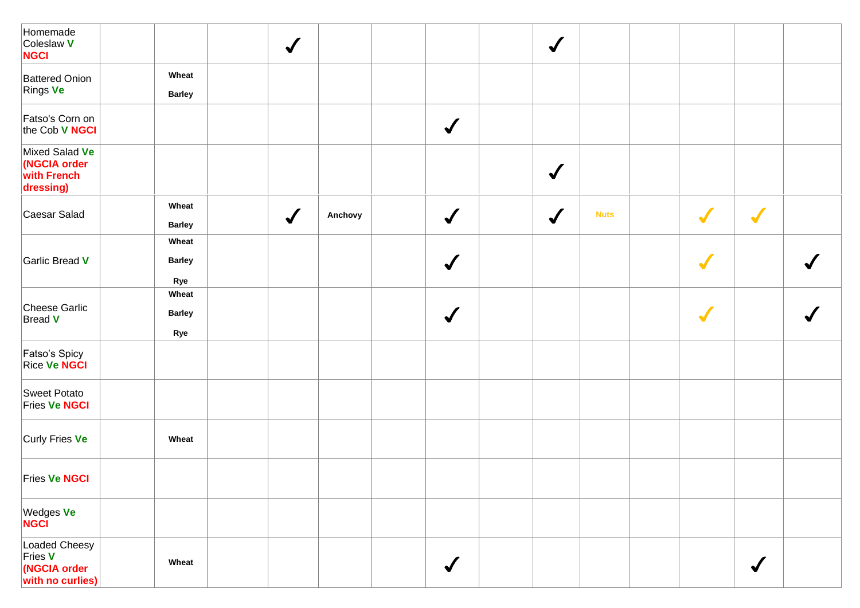| Homemade<br>Coleslaw V<br><b>NGCI</b>                        |                               | $\checkmark$ |         |              | $\bigvee$    |             |            |                 |  |
|--------------------------------------------------------------|-------------------------------|--------------|---------|--------------|--------------|-------------|------------|-----------------|--|
| <b>Battered Onion</b><br>Rings Ve                            | Wheat<br><b>Barley</b>        |              |         |              |              |             |            |                 |  |
| Fatso's Corn on<br>the Cob V NGCI                            |                               |              |         | $\checkmark$ |              |             |            |                 |  |
| Mixed Salad Ve<br>(NGCIA order<br>with French<br>dressing)   |                               |              |         |              | $\bigvee$    |             |            |                 |  |
| Caesar Salad                                                 | Wheat<br><b>Barley</b>        | $\checkmark$ | Anchovy | $\checkmark$ | $\checkmark$ | <b>Nuts</b> | $\sqrt{}$  | $\sqrt{}$       |  |
| Garlic Bread V                                               | Wheat<br><b>Barley</b><br>Rye |              |         | $\checkmark$ |              |             | $\sqrt{2}$ |                 |  |
| Cheese Garlic<br>Bread V                                     | Wheat<br><b>Barley</b><br>Rye |              |         | $\checkmark$ |              |             | $\sqrt{}$  |                 |  |
| Fatso's Spicy<br>Rice Ve NGCI                                |                               |              |         |              |              |             |            |                 |  |
| Sweet Potato<br><b>Fries Ve NGCI</b>                         |                               |              |         |              |              |             |            |                 |  |
| Curly Fries Ve                                               | Wheat                         |              |         |              |              |             |            |                 |  |
| <b>Fries Ve NGCI</b>                                         |                               |              |         |              |              |             |            |                 |  |
| Wedges Ve<br>NGCI                                            |                               |              |         |              |              |             |            |                 |  |
| Loaded Cheesy<br>Fries V<br>(NGCIA order<br>with no curlies) | Wheat                         |              |         | $\checkmark$ |              |             |            | $\blacklozenge$ |  |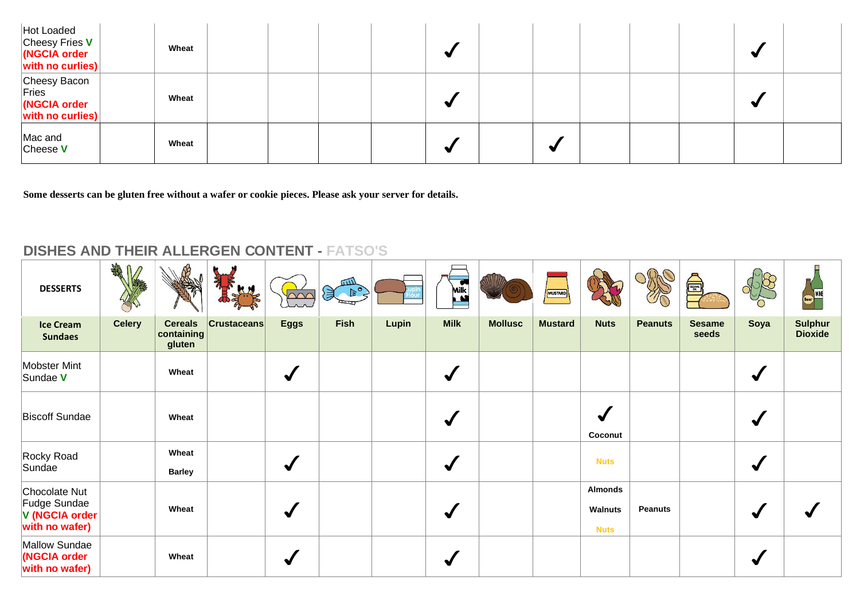| Hot Loaded<br>Cheesy Fries V<br>(NGCIA order<br>$ \dot{\mathbf{w}}$ ith no curlies) | Wheat |  |  |   |  |  |  |
|-------------------------------------------------------------------------------------|-------|--|--|---|--|--|--|
| Cheesy Bacon<br>Fries<br>(NGCIA order<br>with no curlies)                           | Wheat |  |  |   |  |  |  |
| Mac and<br>Cheese V                                                                 | Wheat |  |  | ₩ |  |  |  |

**Some desserts can be gluten free without a wafer or cookie pieces. Please ask your server for details.**

| <b>DESSERTS</b>                                                   | <b>CHARL</b>  |                                        | 亂<br><b>KN</b>     | $\infty$             | шIJ<br>$\bigotimes_{\mathcal{C}} \mathbb{B}^{\circ}_{\mathcal{C}}$ |       | <b>Milk</b> |                | MUSTARD        |                                                 |                | <b>ESANT</b>           |      |                                  |
|-------------------------------------------------------------------|---------------|----------------------------------------|--------------------|----------------------|--------------------------------------------------------------------|-------|-------------|----------------|----------------|-------------------------------------------------|----------------|------------------------|------|----------------------------------|
| <b>Ice Cream</b><br><b>Sundaes</b>                                | <b>Celery</b> | <b>Cereals</b><br>containing<br>gluten | <b>Crustaceans</b> | <b>Eggs</b>          | <b>Fish</b>                                                        | Lupin | <b>Milk</b> | <b>Mollusc</b> | <b>Mustard</b> | <b>Nuts</b>                                     | <b>Peanuts</b> | <b>Sesame</b><br>seeds | Soya | <b>Sulphur</b><br><b>Dioxide</b> |
| Mobster Mint<br>Sundae V                                          |               | Wheat                                  |                    | $\blacktriangledown$ |                                                                    |       | √           |                |                |                                                 |                |                        | √    |                                  |
| <b>Biscoff Sundae</b>                                             |               | Wheat                                  |                    |                      |                                                                    |       | ✔           |                |                | Coconut                                         |                |                        |      |                                  |
| Rocky Road<br>Sundae                                              |               | Wheat<br><b>Barley</b>                 |                    | $\blacktriangledown$ |                                                                    |       | ₩           |                |                | <b>Nuts</b>                                     |                |                        | ✔    |                                  |
| Chocolate Nut<br>Fudge Sundae<br>V (NGCIA order<br>with no wafer) |               | Wheat                                  |                    | $\blacktriangledown$ |                                                                    |       | J           |                |                | <b>Almonds</b><br><b>Walnuts</b><br><b>Nuts</b> | <b>Peanuts</b> |                        |      |                                  |
| Mallow Sundae<br>(NGCIA order<br>with no wafer)                   |               | Wheat                                  |                    | √                    |                                                                    |       |             |                |                |                                                 |                |                        |      |                                  |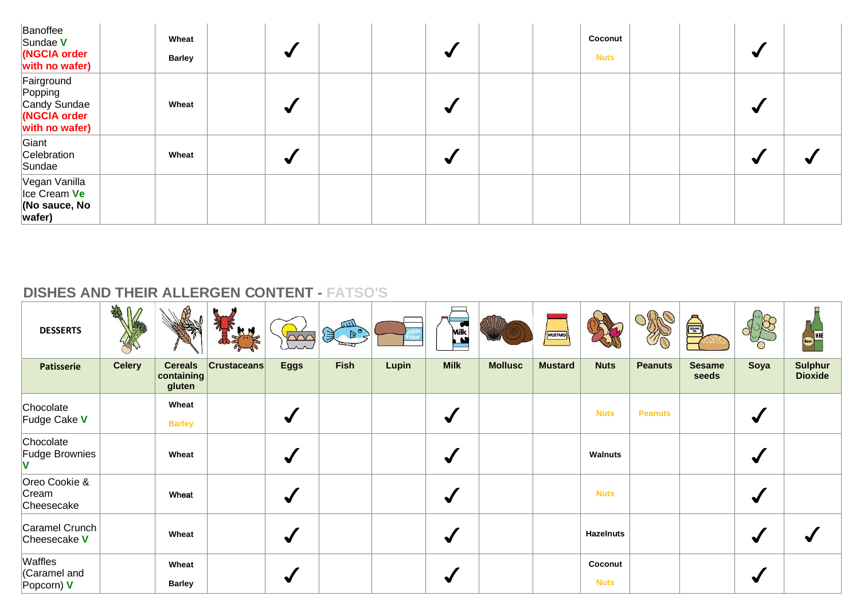| Banoffee<br>Sundae V<br>(NGCIA order<br>with no wafer)                  | Wheat<br><b>Barley</b> |   | ₩ | Coconut<br><b>Nuts</b> |   |  |
|-------------------------------------------------------------------------|------------------------|---|---|------------------------|---|--|
| Fairground<br>Popping<br>Candy Sundae<br>(NGCIA order<br>with no wafer) | Wheat                  | ✔ | ₩ |                        | ₩ |  |
| Giant<br>Celebration<br>Sundae                                          | Wheat                  | √ | ₩ |                        | ₩ |  |
| Vegan Vanilla<br>$ $ Ice Cream Ve<br>(No sauce, No<br>wafer)            |                        |   |   |                        |   |  |

| <b>DESSERTS</b>                        | AR            |                                        | 亂<br>Ly            | $\sim$          | $\begin{picture}(120,115) \put(0,0){\line(1,0){10}} \put(15,0){\line(1,0){10}} \put(15,0){\line(1,0){10}} \put(15,0){\line(1,0){10}} \put(15,0){\line(1,0){10}} \put(15,0){\line(1,0){10}} \put(15,0){\line(1,0){10}} \put(15,0){\line(1,0){10}} \put(15,0){\line(1,0){10}} \put(15,0){\line(1,0){10}} \put(15,0){\line(1,0){10}} \put(15,0){\line$ |       | <b>Milk</b>          |                | MUSTARD        |                        | $\mathcal{U}\cap$ | <b>ENGINEERING</b>     |                      | Beer                             |
|----------------------------------------|---------------|----------------------------------------|--------------------|-----------------|-----------------------------------------------------------------------------------------------------------------------------------------------------------------------------------------------------------------------------------------------------------------------------------------------------------------------------------------------------|-------|----------------------|----------------|----------------|------------------------|-------------------|------------------------|----------------------|----------------------------------|
| <b>Patisserie</b>                      | <b>Celery</b> | <b>Cereals</b><br>containing<br>gluten | <b>Crustaceans</b> | <b>Eggs</b>     | <b>Fish</b>                                                                                                                                                                                                                                                                                                                                         | Lupin | <b>Milk</b>          | <b>Mollusc</b> | <b>Mustard</b> | <b>Nuts</b>            | <b>Peanuts</b>    | <b>Sesame</b><br>seeds | Soya                 | <b>Sulphur</b><br><b>Dioxide</b> |
| Chocolate<br>Fudge Cake V              |               | Wheat<br><b>Barley</b>                 |                    | $\blacklozenge$ |                                                                                                                                                                                                                                                                                                                                                     |       | ✔                    |                |                | <b>Nuts</b>            | <b>Peanuts</b>    |                        | $\blacktriangleleft$ |                                  |
| Chocolate<br>Fudge Brownies            |               | Wheat                                  |                    | $\blacklozenge$ |                                                                                                                                                                                                                                                                                                                                                     |       | $\blacktriangleleft$ |                |                | Walnuts                |                   |                        | √                    |                                  |
| Oreo Cookie &<br>Cream<br>Cheesecake   |               | Wheat                                  |                    | $\blacklozenge$ |                                                                                                                                                                                                                                                                                                                                                     |       | √                    |                |                | <b>Nuts</b>            |                   |                        | ✔                    |                                  |
| Caramel Crunch<br>Cheesecake V         |               | Wheat                                  |                    | $\blacklozenge$ |                                                                                                                                                                                                                                                                                                                                                     |       | ✔                    |                |                | <b>Hazelnuts</b>       |                   |                        |                      |                                  |
| Waffles<br>Caramel and<br>Popcorn) $V$ |               | Wheat<br><b>Barley</b>                 |                    |                 |                                                                                                                                                                                                                                                                                                                                                     |       |                      |                |                | Coconut<br><b>Nuts</b> |                   |                        |                      |                                  |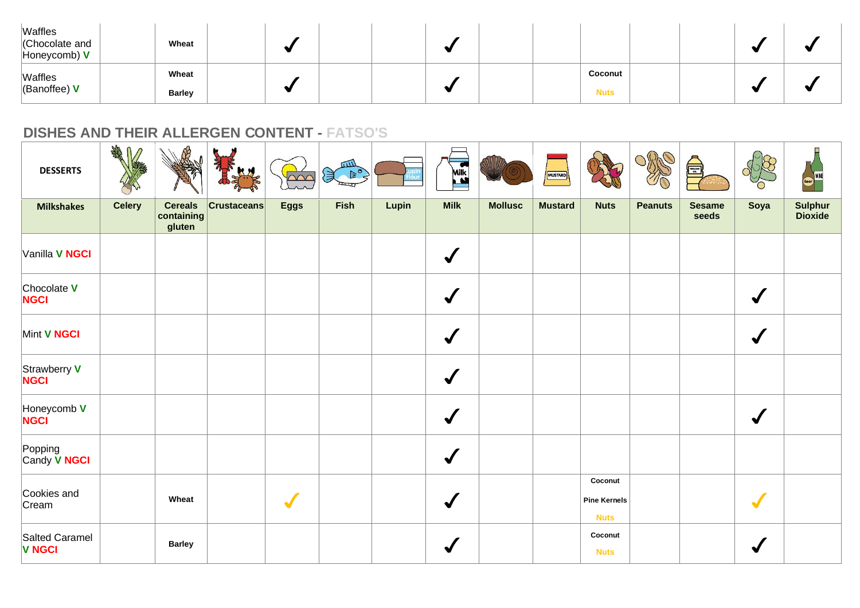| Waffles<br>Chocolate and<br>$H$ oneycomb) $V$ | Wheat                  |  |  |  |                        |  |  |
|-----------------------------------------------|------------------------|--|--|--|------------------------|--|--|
| Waffles<br>(Banoffee) $V$                     | Wheat<br><b>Barley</b> |  |  |  | Coconut<br><b>Nuts</b> |  |  |

| <b>DESSERTS</b>                 | Afr           |                                        |                    | $\sim$      | $x^2$ |       | $\bullet$<br>Milk<br>Ľ |                | MUSTARD        |                                               |                | <b>A</b>               |              | WINE               |
|---------------------------------|---------------|----------------------------------------|--------------------|-------------|-------|-------|------------------------|----------------|----------------|-----------------------------------------------|----------------|------------------------|--------------|--------------------|
| <b>Milkshakes</b>               | <b>Celery</b> | <b>Cereals</b><br>containing<br>gluten | <b>Crustaceans</b> | <b>Eggs</b> | Fish  | Lupin | <b>Milk</b>            | <b>Mollusc</b> | <b>Mustard</b> | <b>Nuts</b>                                   | <b>Peanuts</b> | <b>Sesame</b><br>seeds | Soya         | Sulphur<br>Dioxide |
| Vanilla V NGCI                  |               |                                        |                    |             |       |       | $\checkmark$           |                |                |                                               |                |                        |              |                    |
| Chocolate V<br><b>NGCI</b>      |               |                                        |                    |             |       |       | $\checkmark$           |                |                |                                               |                |                        | √            |                    |
| Mint V NGCI                     |               |                                        |                    |             |       |       | $\checkmark$           |                |                |                                               |                |                        | $\checkmark$ |                    |
| Strawberry V<br><b>NGCI</b>     |               |                                        |                    |             |       |       | $\checkmark$           |                |                |                                               |                |                        |              |                    |
| Honeycomb V<br>NGCI             |               |                                        |                    |             |       |       | $\checkmark$           |                |                |                                               |                |                        | $\sqrt{}$    |                    |
| Popping<br>Candy V NGCI         |               |                                        |                    |             |       |       | $\checkmark$           |                |                |                                               |                |                        |              |                    |
| Cookies and<br>Cream            |               | Wheat                                  |                    |             |       |       | $\sqrt{ }$             |                |                | Coconut<br><b>Pine Kernels</b><br><b>Nuts</b> |                |                        |              |                    |
| Salted Caramel<br><b>V NGCI</b> |               | <b>Barley</b>                          |                    |             |       |       |                        |                |                | Coconut<br><b>Nuts</b>                        |                |                        |              |                    |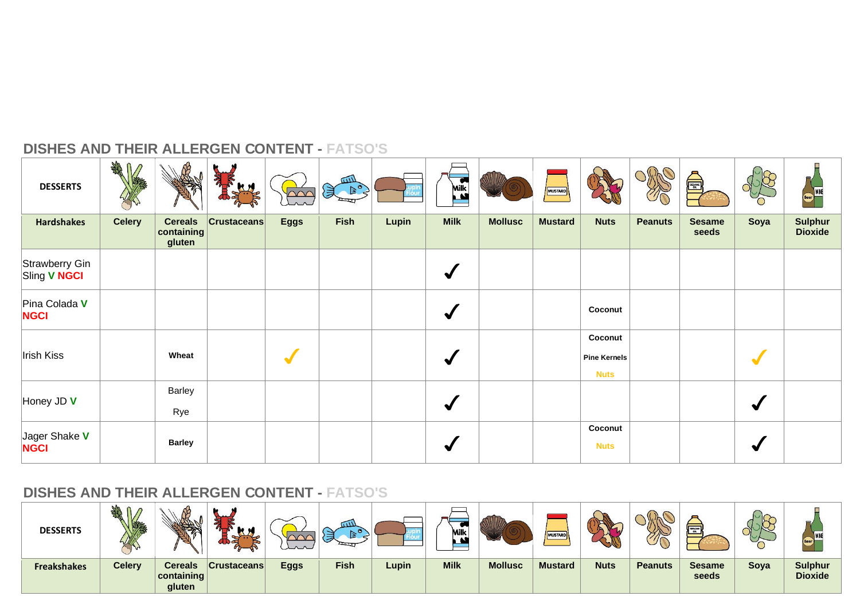| <b>DESSERTS</b>                | AND           |                                        | $\mathbf{H}$       | $\sim$      | Sean Ro     |       | <b>Milk</b>          |                | MUSTARD        |                                               |                | Å                      |           | Beer WINE                        |
|--------------------------------|---------------|----------------------------------------|--------------------|-------------|-------------|-------|----------------------|----------------|----------------|-----------------------------------------------|----------------|------------------------|-----------|----------------------------------|
| <b>Hardshakes</b>              | <b>Celery</b> | <b>Cereals</b><br>containing<br>gluten | <b>Crustaceans</b> | <b>Eggs</b> | <b>Fish</b> | Lupin | <b>Milk</b>          | <b>Mollusc</b> | <b>Mustard</b> | <b>Nuts</b>                                   | <b>Peanuts</b> | <b>Sesame</b><br>seeds | Soya      | <b>Sulphur</b><br><b>Dioxide</b> |
| Strawberry Gin<br>Sling V NGCI |               |                                        |                    |             |             |       | $\blacklozenge$      |                |                |                                               |                |                        |           |                                  |
| Pina Colada V<br><b>NGCI</b>   |               |                                        |                    |             |             |       | $\blacktriangledown$ |                |                | Coconut                                       |                |                        |           |                                  |
| Irish Kiss                     |               | Wheat                                  |                    |             |             |       | $\blacktriangledown$ |                |                | Coconut<br><b>Pine Kernels</b><br><b>Nuts</b> |                |                        | $\bullet$ |                                  |
| Honey JD V                     |               | <b>Barley</b><br>Rye                   |                    |             |             |       | ✔                    |                |                |                                               |                |                        | √         |                                  |
| Jager Shake V<br><b>NGCI</b>   |               | <b>Barley</b>                          |                    |             |             |       |                      |                |                | Coconut<br><b>Nuts</b>                        |                |                        |           |                                  |

| <b>DESSERTS</b>    | NA<br>5/7     |                                        | . .<br>$\sim$      | سميت | ūШ          |              | ∽<br>Milk<br>$\mathbf{A}$ |                | MUSTARD        |             | $^{\prime\prime}$ | <b>SESAME</b>          | $\sim$ | Beer                             |
|--------------------|---------------|----------------------------------------|--------------------|------|-------------|--------------|---------------------------|----------------|----------------|-------------|-------------------|------------------------|--------|----------------------------------|
| <b>Freakshakes</b> | <b>Celery</b> | <b>Cereals</b><br>containing<br>gluten | <b>Crustaceans</b> | Eggs | <b>Fish</b> | <b>Lupin</b> | <b>Milk</b>               | <b>Mollusc</b> | <b>Mustard</b> | <b>Nuts</b> | <b>Peanuts</b>    | <b>Sesame</b><br>seeds | Soya   | <b>Sulphur</b><br><b>Dioxide</b> |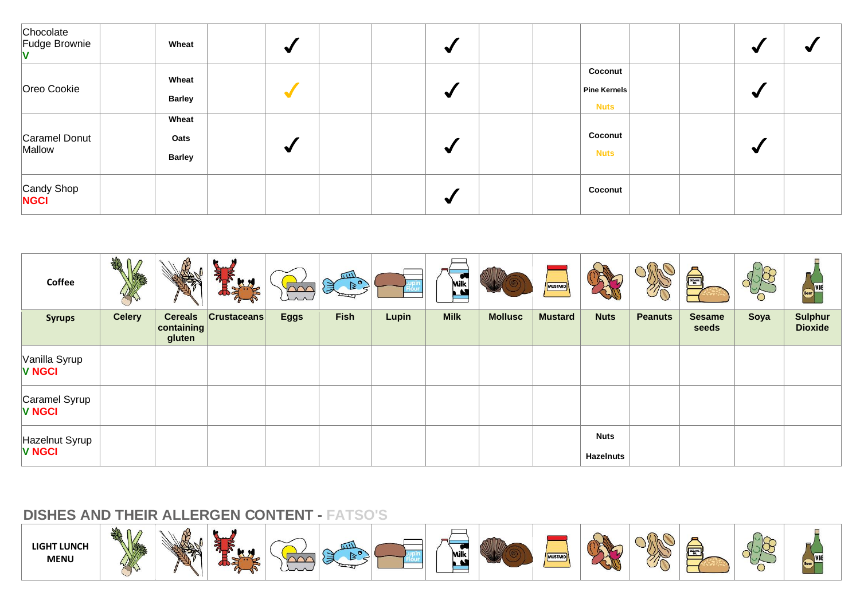| Chocolate<br>Fudge Brownie | Wheat                          | ₩                    | $\bullet$ |                                        |  |   |  |
|----------------------------|--------------------------------|----------------------|-----------|----------------------------------------|--|---|--|
| Oreo Cookie                | Wheat<br><b>Barley</b>         |                      | N         | Coconut<br>Pine Kernels<br><b>Nuts</b> |  |   |  |
| Caramel Donut<br>Mallow    | Wheat<br>Oats<br><b>Barley</b> | $\blacktriangledown$ | M         | Coconut<br><b>Nuts</b>                 |  | ₩ |  |
| Candy Shop<br><b>NGCI</b>  |                                |                      | N         | Coconut                                |  |   |  |

| Coffee                          | <b>SHAR</b>   |                                        | $\boldsymbol{\tilde{a}}$<br><b>KX</b> | $\sim$      | <b>GILL</b><br>$\mathbb{R}^{\circ}$<br>美 |       | Milk<br>A   |                | MUSTARD        |                          | T C            | <b>SEAME</b>           |      | <b>I</b> WINF<br><b>Beer</b>     |
|---------------------------------|---------------|----------------------------------------|---------------------------------------|-------------|------------------------------------------|-------|-------------|----------------|----------------|--------------------------|----------------|------------------------|------|----------------------------------|
| <b>Syrups</b>                   | <b>Celery</b> | <b>Cereals</b><br>containing<br>gluten | $ C$ rustaceans                       | <b>Eggs</b> | <b>Fish</b>                              | Lupin | <b>Milk</b> | <b>Mollusc</b> | <b>Mustard</b> | <b>Nuts</b>              | <b>Peanuts</b> | <b>Sesame</b><br>seeds | Soya | <b>Sulphur</b><br><b>Dioxide</b> |
| Vanilla Syrup<br><b>V NGCI</b>  |               |                                        |                                       |             |                                          |       |             |                |                |                          |                |                        |      |                                  |
| Caramel Syrup<br><b>V NGCI</b>  |               |                                        |                                       |             |                                          |       |             |                |                |                          |                |                        |      |                                  |
| Hazelnut Syrup<br><b>V NGCI</b> |               |                                        |                                       |             |                                          |       |             |                |                | <b>Nuts</b><br>Hazelnuts |                |                        |      |                                  |

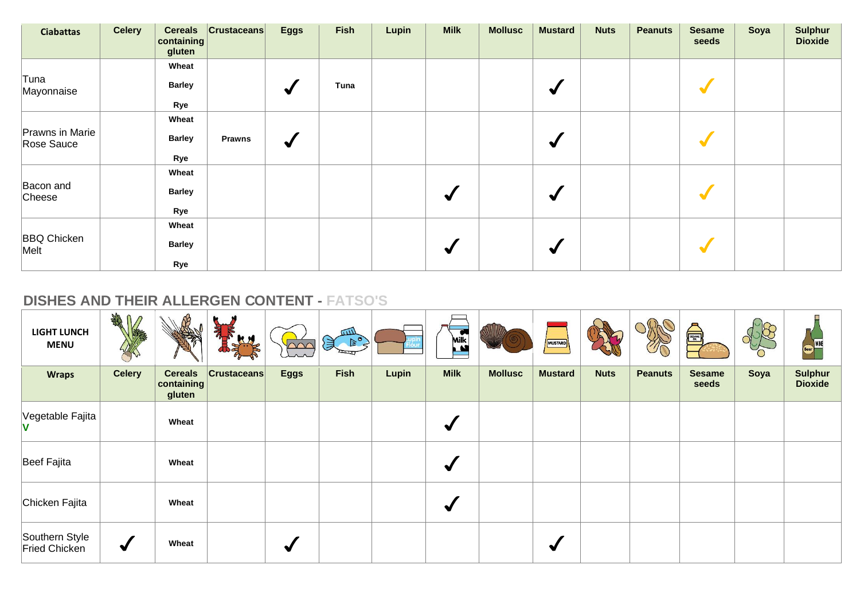| <b>Ciabattas</b>              | <b>Celery</b> | <b>Cereals</b><br>containing<br>gluten | $ $ Crustaceans | <b>Eggs</b>     | <b>Fish</b> | Lupin | <b>Milk</b> | <b>Mollusc</b> | <b>Mustard</b>       | <b>Nuts</b> | <b>Peanuts</b> | <b>Sesame</b><br>seeds | Soya | <b>Sulphur</b><br><b>Dioxide</b> |
|-------------------------------|---------------|----------------------------------------|-----------------|-----------------|-------------|-------|-------------|----------------|----------------------|-------------|----------------|------------------------|------|----------------------------------|
| Tuna<br>Mayonnaise            |               | Wheat<br><b>Barley</b>                 |                 | $\checkmark$    | Tuna        |       |             |                | $\blacklozenge$      |             |                |                        |      |                                  |
|                               |               | Rye                                    |                 |                 |             |       |             |                |                      |             |                |                        |      |                                  |
|                               |               | Wheat                                  |                 |                 |             |       |             |                |                      |             |                |                        |      |                                  |
| Prawns in Marie<br>Rose Sauce |               | <b>Barley</b>                          | <b>Prawns</b>   | $\blacklozenge$ |             |       |             |                | $\blacklozenge$      |             |                |                        |      |                                  |
|                               |               | Rye                                    |                 |                 |             |       |             |                |                      |             |                |                        |      |                                  |
|                               |               | Wheat                                  |                 |                 |             |       |             |                |                      |             |                |                        |      |                                  |
| Bacon and<br>Cheese           |               | <b>Barley</b>                          |                 |                 |             |       | √           |                | $\blacktriangledown$ |             |                |                        |      |                                  |
|                               |               | Rye                                    |                 |                 |             |       |             |                |                      |             |                |                        |      |                                  |
|                               |               | Wheat                                  |                 |                 |             |       |             |                |                      |             |                |                        |      |                                  |
| <b>BBQ Chicken</b><br>Melt    |               | <b>Barley</b>                          |                 |                 |             |       | √           |                | ✔                    |             |                |                        |      |                                  |
|                               |               | Rye                                    |                 |                 |             |       |             |                |                      |             |                |                        |      |                                  |

| <b>LIGHT LUNCH</b><br><b>MENU</b> | AR              |                                        | 礼<br>KN            | $\sim$      | mл<br>第 長   |       | Milk<br>M             |                | MUSTARD        |             | $\sqrt{C}$     | A                      |      | $\blacksquare$<br>Beer WINE      |
|-----------------------------------|-----------------|----------------------------------------|--------------------|-------------|-------------|-------|-----------------------|----------------|----------------|-------------|----------------|------------------------|------|----------------------------------|
| <b>Wraps</b>                      | <b>Celery</b>   | <b>Cereals</b><br>containing<br>gluten | <b>Crustaceans</b> | <b>Eggs</b> | <b>Fish</b> | Lupin | <b>Milk</b>           | <b>Mollusc</b> | <b>Mustard</b> | <b>Nuts</b> | <b>Peanuts</b> | <b>Sesame</b><br>seeds | Soya | <b>Sulphur</b><br><b>Dioxide</b> |
| Vegetable Fajita<br>v             |                 | Wheat                                  |                    |             |             |       | $\blacktriangleright$ |                |                |             |                |                        |      |                                  |
| Beef Fajita                       |                 | Wheat                                  |                    |             |             |       | $\blacktriangleright$ |                |                |             |                |                        |      |                                  |
| Chicken Fajita                    |                 | Wheat                                  |                    |             |             |       | ₩                     |                |                |             |                |                        |      |                                  |
| Southern Style<br>Fried Chicken   | $\blacklozenge$ | Wheat                                  |                    | ✔           |             |       |                       |                | ✔              |             |                |                        |      |                                  |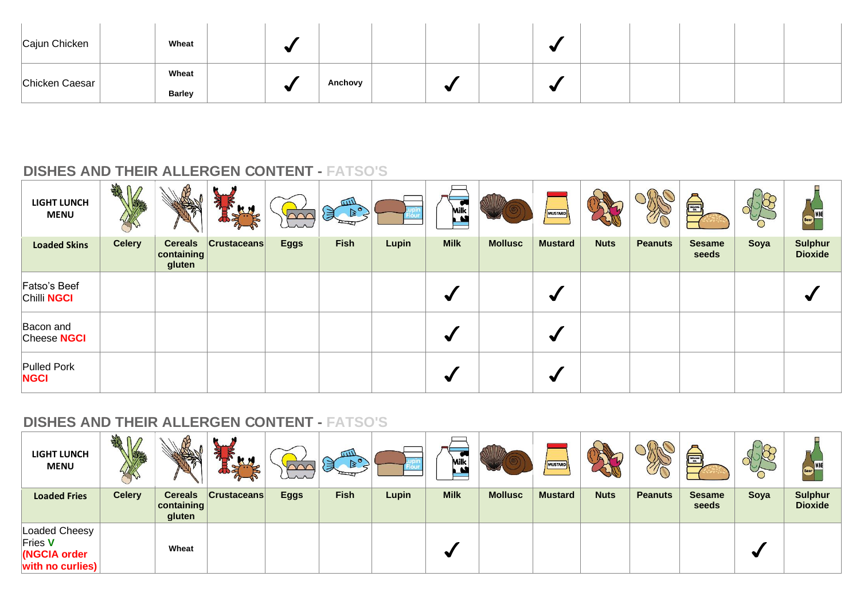| Cajun Chicken  | Wheat         |  |         |  |   |  |  |  |
|----------------|---------------|--|---------|--|---|--|--|--|
| Chicken Caesar | Wheat         |  |         |  |   |  |  |  |
|                | <b>Barley</b> |  | Anchovy |  | - |  |  |  |

| <b>LIGHT LUNCH</b><br><b>MENU</b> | <b>SHAR</b>   |                                        | Я                  | $\Omega$    | $\sqrt{111}$<br>$\left(\frac{1}{2}\right)^{6}$ |       | $\bullet$<br>Milk<br>$\mathbf{M}$ |                | MUSTARD        |             | $\mathcal{Y}(\mathcal{C})$ | é                      | O    | <b>WINE</b><br><b>Beer</b>       |
|-----------------------------------|---------------|----------------------------------------|--------------------|-------------|------------------------------------------------|-------|-----------------------------------|----------------|----------------|-------------|----------------------------|------------------------|------|----------------------------------|
| <b>Loaded Skins</b>               | <b>Celery</b> | <b>Cereals</b><br>containing<br>gluten | <b>Crustaceans</b> | <b>Eggs</b> | <b>Fish</b>                                    | Lupin | <b>Milk</b>                       | <b>Mollusc</b> | <b>Mustard</b> | <b>Nuts</b> | <b>Peanuts</b>             | <b>Sesame</b><br>seeds | Soya | <b>Sulphur</b><br><b>Dioxide</b> |
| Fatso's Beef<br>Chilli NGCI       |               |                                        |                    |             |                                                |       |                                   |                | √              |             |                            |                        |      |                                  |
| Bacon and<br>Cheese <b>NGCI</b>   |               |                                        |                    |             |                                                |       |                                   |                | ₩              |             |                            |                        |      |                                  |
| Pulled Pork<br><b>NGCI</b>        |               |                                        |                    |             |                                                |       |                                   |                | ₩              |             |                            |                        |      |                                  |

| <b>LIGHT LUNCH</b><br><b>MENU</b>                            | <b>SHAR</b>   |                                                |                    | un          | $\overline{u}$<br>$\geq$<br>貝 |       | $\cdot$<br>Milk<br>$\mathbf{A}$ |                | MUSTARD        |             | TO             | SESAME <sub>O</sub>    |      |                                  |
|--------------------------------------------------------------|---------------|------------------------------------------------|--------------------|-------------|-------------------------------|-------|---------------------------------|----------------|----------------|-------------|----------------|------------------------|------|----------------------------------|
| <b>Loaded Fries</b>                                          | <b>Celery</b> | <b>Cereals</b><br>$ $ containing $ $<br>gluten | <b>Crustaceans</b> | <b>Eggs</b> | <b>Fish</b>                   | Lupin | <b>Milk</b>                     | <b>Mollusc</b> | <b>Mustard</b> | <b>Nuts</b> | <b>Peanuts</b> | <b>Sesame</b><br>seeds | Soya | <b>Sulphur</b><br><b>Dioxide</b> |
| Loaded Cheesy<br>Fries V<br>(NGCIA order<br>with no curlies) |               | Wheat                                          |                    |             |                               |       |                                 |                |                |             |                |                        |      |                                  |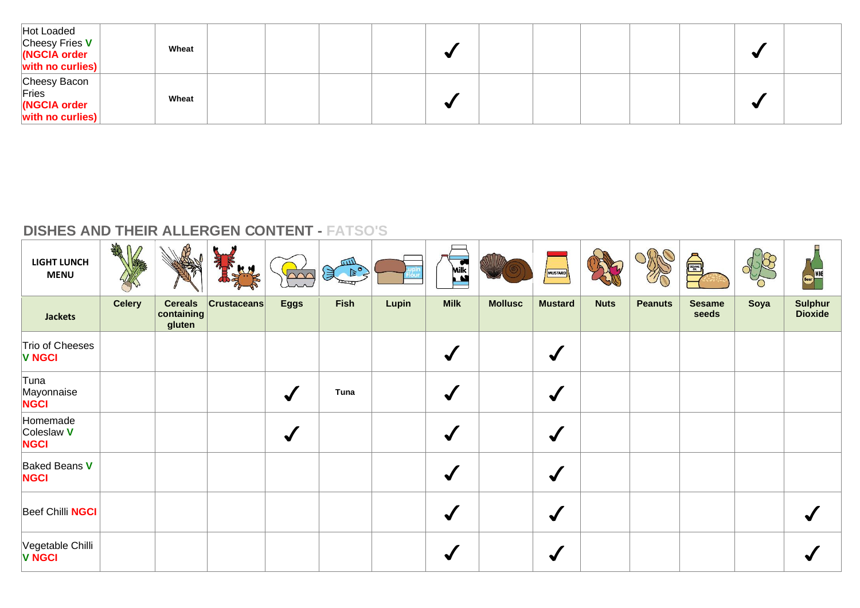| Hot Loaded<br>Cheesy Fries $V$<br>NGCIA order<br>$\vert$ with no curlies) $\vert$ | Wheat |  |  |  |  |  |  |
|-----------------------------------------------------------------------------------|-------|--|--|--|--|--|--|
| Cheesy Bacon<br>Fries<br>(NGCIA order<br>with no curlies)                         | Wheat |  |  |  |  |  |  |

| <b>LIGHT LUNCH</b><br><b>MENU</b>     | 我们            |                                        | a<br>a<br>A        | $\sim$       | Sean Ro     |       | Milk<br>$\mathbf{M}$ |                | MUSTARD         |             |                | é,                     |      | Beer WINE                        |
|---------------------------------------|---------------|----------------------------------------|--------------------|--------------|-------------|-------|----------------------|----------------|-----------------|-------------|----------------|------------------------|------|----------------------------------|
| <b>Jackets</b>                        | <b>Celery</b> | <b>Cereals</b><br>containing<br>gluten | <b>Crustaceans</b> | <b>Eggs</b>  | <b>Fish</b> | Lupin | <b>Milk</b>          | <b>Mollusc</b> | <b>Mustard</b>  | <b>Nuts</b> | <b>Peanuts</b> | <b>Sesame</b><br>seeds | Soya | <b>Sulphur</b><br><b>Dioxide</b> |
| Trio of Cheeses<br><b>V NGCI</b>      |               |                                        |                    |              |             |       |                      |                | $\blacklozenge$ |             |                |                        |      |                                  |
| ∣Tuna<br>Mayonnaise<br><b>NGCI</b>    |               |                                        |                    |              | Tuna        |       |                      |                | ✔               |             |                |                        |      |                                  |
| Homemade<br>Coleslaw V<br><b>NGCI</b> |               |                                        |                    | $\checkmark$ |             |       |                      |                | $\blacklozenge$ |             |                |                        |      |                                  |
| Baked Beans V<br><b>NGCI</b>          |               |                                        |                    |              |             |       | √                    |                | $\blacklozenge$ |             |                |                        |      |                                  |
| Beef Chilli NGCI                      |               |                                        |                    |              |             |       |                      |                | $\blacklozenge$ |             |                |                        |      |                                  |
| Vegetable Chilli<br><b>V NGCI</b>     |               |                                        |                    |              |             |       |                      |                | ✔               |             |                |                        |      |                                  |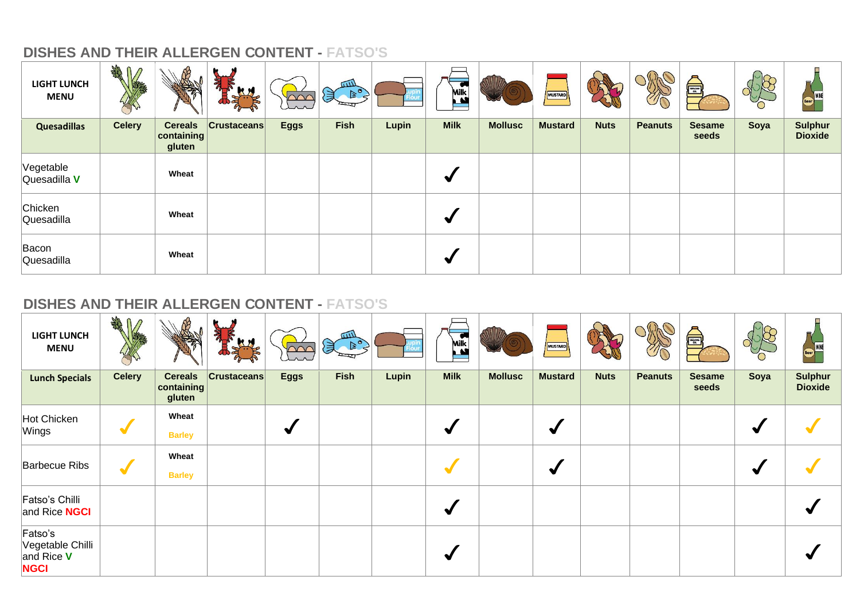| <b>LIGHT LUNCH</b><br><b>MENU</b> | <b>SHAR</b>   |                                        | <b>KN</b>          | $\cap\cap$  | $\sqrt{111}$<br>$\begin{picture}(160,10) \put(0,0){\line(1,0){10}} \put(15,0){\line(1,0){10}} \put(15,0){\line(1,0){10}} \put(15,0){\line(1,0){10}} \put(15,0){\line(1,0){10}} \put(15,0){\line(1,0){10}} \put(15,0){\line(1,0){10}} \put(15,0){\line(1,0){10}} \put(15,0){\line(1,0){10}} \put(15,0){\line(1,0){10}} \put(15,0){\line(1,0){10}} \put(15,0){\line($<br>頁 |       | <b>C</b><br>Milk<br>$\mathbf{M}$ |                | MUSTARD        |             | $\mathcal{U}$  | SESAME <sub>OL</sub>   | O    | $\Rightarrow$                    |
|-----------------------------------|---------------|----------------------------------------|--------------------|-------------|--------------------------------------------------------------------------------------------------------------------------------------------------------------------------------------------------------------------------------------------------------------------------------------------------------------------------------------------------------------------------|-------|----------------------------------|----------------|----------------|-------------|----------------|------------------------|------|----------------------------------|
| <b>Quesadillas</b>                | <b>Celery</b> | <b>Cereals</b><br>containing<br>gluten | <b>Crustaceans</b> | <b>Eggs</b> | <b>Fish</b>                                                                                                                                                                                                                                                                                                                                                              | Lupin | <b>Milk</b>                      | <b>Mollusc</b> | <b>Mustard</b> | <b>Nuts</b> | <b>Peanuts</b> | <b>Sesame</b><br>seeds | Soya | <b>Sulphur</b><br><b>Dioxide</b> |
| Vegetable<br>Quesadilla V         |               | Wheat                                  |                    |             |                                                                                                                                                                                                                                                                                                                                                                          |       | ₩                                |                |                |             |                |                        |      |                                  |
| Chicken<br>Quesadilla             |               | Wheat                                  |                    |             |                                                                                                                                                                                                                                                                                                                                                                          |       | ₩                                |                |                |             |                |                        |      |                                  |
| Bacon<br>Quesadilla               |               | Wheat                                  |                    |             |                                                                                                                                                                                                                                                                                                                                                                          |       |                                  |                |                |             |                |                        |      |                                  |

| <b>LIGHT LUNCH</b><br><b>MENU</b>                          | AR<br>$\mathcal{D}$  |                                        | 亂                  | $\sim$               | mл<br>$\left( \frac{1}{2} \right)$ |       | <b>Milk</b> |                | MUSTARD              |             | $\mathcal{D}(\nabla)$ | SESAME D               |      |                                  |
|------------------------------------------------------------|----------------------|----------------------------------------|--------------------|----------------------|------------------------------------|-------|-------------|----------------|----------------------|-------------|-----------------------|------------------------|------|----------------------------------|
| <b>Lunch Specials</b>                                      | <b>Celery</b>        | <b>Cereals</b><br>containing<br>gluten | <b>Crustaceans</b> | <b>Eggs</b>          | <b>Fish</b>                        | Lupin | <b>Milk</b> | <b>Mollusc</b> | <b>Mustard</b>       | <b>Nuts</b> | <b>Peanuts</b>        | <b>Sesame</b><br>seeds | Soya | <b>Sulphur</b><br><b>Dioxide</b> |
| Hot Chicken<br>Wings                                       | $\blacktriangledown$ | Wheat<br><b>Barley</b>                 |                    | $\blacktriangledown$ |                                    |       | ₩           |                | $\blacktriangledown$ |             |                       |                        |      |                                  |
| Barbecue Ribs                                              | $\blacktriangledown$ | Wheat<br><b>Barley</b>                 |                    |                      |                                    |       |             |                | $\blacktriangledown$ |             |                       |                        |      |                                  |
| Fatso's Chilli<br>and Rice <b>NGCI</b>                     |                      |                                        |                    |                      |                                    |       | ✔           |                |                      |             |                       |                        |      |                                  |
| Fatso's<br>Vegetable Chilli<br>and Rice $V$<br><b>NGCI</b> |                      |                                        |                    |                      |                                    |       |             |                |                      |             |                       |                        |      |                                  |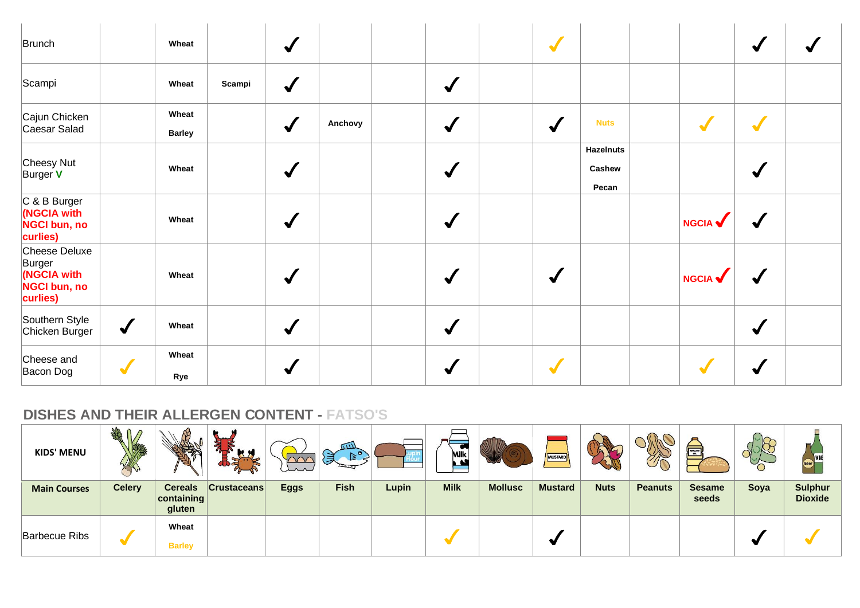| Brunch                                                                    |              | Wheat                  |        | $\checkmark$    |         |                      | $\blacktriangledown$ |                                     |                | $\blacktriangledown$ |  |
|---------------------------------------------------------------------------|--------------|------------------------|--------|-----------------|---------|----------------------|----------------------|-------------------------------------|----------------|----------------------|--|
| Scampi                                                                    |              | Wheat                  | Scampi | $\bigvee$       |         | $\checkmark$         |                      |                                     |                |                      |  |
| Cajun Chicken<br>Caesar Salad                                             |              | Wheat<br><b>Barley</b> |        | $\checkmark$    | Anchovy | $\checkmark$         | $\blacklozenge$      | <b>Nuts</b>                         |                | $\sqrt{}$            |  |
| Cheesy Nut<br>Burger V                                                    |              | Wheat                  |        | $\checkmark$    |         | $\blacktriangledown$ |                      | <b>Hazelnuts</b><br>Cashew<br>Pecan |                | √                    |  |
| C & B Burger<br>(NGCIA with<br>NGCI bun, no<br>curlies)                   |              | Wheat                  |        | $\checkmark$    |         | $\checkmark$         |                      |                                     | <b>NGCIA V</b> | √                    |  |
| Cheese Deluxe<br>Burger<br>(NGCIA with<br><b>NGCI bun, no</b><br>curlies) |              | Wheat                  |        | $\checkmark$    |         | $\blacktriangledown$ | $\checkmark$         |                                     | <b>NGCIA</b>   |                      |  |
| Southern Style<br>Chicken Burger                                          | $\checkmark$ | Wheat                  |        | $\bigvee$       |         | $\checkmark$         |                      |                                     |                | $\blacktriangledown$ |  |
| Cheese and<br>Bacon Dog                                                   | $\sqrt{}$    | Wheat<br>Rye           |        | $\blacklozenge$ |         | $\blacktriangledown$ | $\sqrt{}$            |                                     |                |                      |  |

| <b>KIDS' MENU</b>    | M             |                                      | <b>KM</b>          | un          | $\overline{u}$<br>$\mathbb{R}^{\sigma}$ |       | $\cdot$<br>Milk<br>$\mathbf{A}$ |                | MUSTARD        |             | The            | <b>FEBRUARY</b>        |      | $\equiv$                         |
|----------------------|---------------|--------------------------------------|--------------------|-------------|-----------------------------------------|-------|---------------------------------|----------------|----------------|-------------|----------------|------------------------|------|----------------------------------|
| <b>Main Courses</b>  | <b>Celery</b> | <b>Cereals</b><br>$ $ containing $ $ | <b>Crustaceans</b> | <b>Eggs</b> | <b>Fish</b>                             | Lupin | <b>Milk</b>                     | <b>Mollusc</b> | <b>Mustard</b> | <b>Nuts</b> | <b>Peanuts</b> | <b>Sesame</b><br>seeds | Soya | <b>Sulphur</b><br><b>Dioxide</b> |
|                      |               | gluten                               |                    |             |                                         |       |                                 |                |                |             |                |                        |      |                                  |
| <b>Barbecue Ribs</b> |               | Wheat                                |                    |             |                                         |       |                                 |                |                |             |                |                        |      |                                  |
|                      |               | <b>Barley</b>                        |                    |             |                                         |       |                                 |                |                |             |                |                        |      |                                  |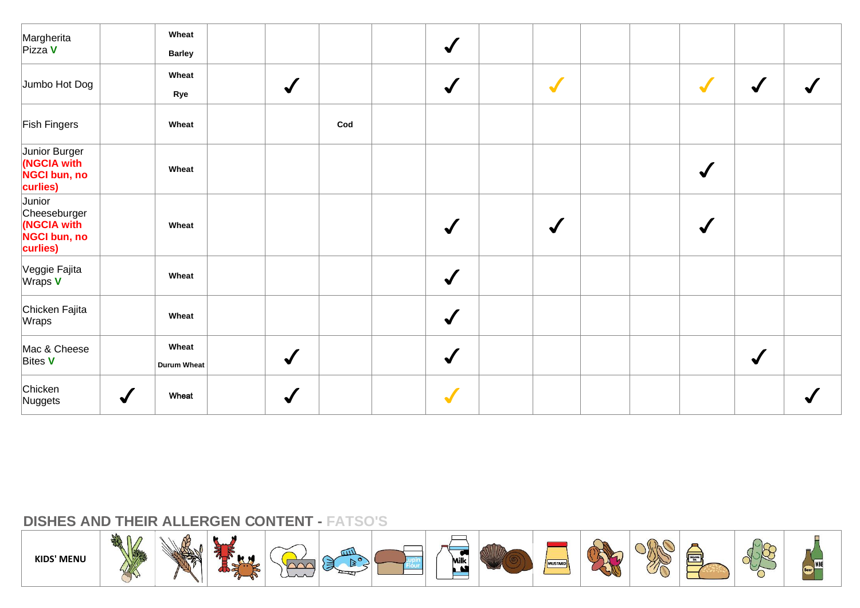| Margherita<br>Pizza V                                             |              | Wheat<br><b>Barley</b>      |                      |                | $\checkmark$         |                 |  |              |                      |  |
|-------------------------------------------------------------------|--------------|-----------------------------|----------------------|----------------|----------------------|-----------------|--|--------------|----------------------|--|
| Jumbo Hot Dog                                                     |              | Wheat<br>Rye                | $\sqrt{\frac{1}{2}}$ |                | $\checkmark$         | $\sqrt{}$       |  | $\sqrt{}$    | $\sqrt{\frac{1}{2}}$ |  |
| <b>Fish Fingers</b>                                               |              | Wheat                       |                      | $\mathsf{Cod}$ |                      |                 |  |              |                      |  |
| Junior Burger<br>(NGCIA with<br>NGCI bun, no<br>curlies)          |              | Wheat                       |                      |                |                      |                 |  | $\checkmark$ |                      |  |
| Junior<br>Cheeseburger<br>(NGCIA with<br>NGCI bun, no<br>curlies) |              | Wheat                       |                      |                | $\blacktriangledown$ | $\blacklozenge$ |  | $\bigvee$    |                      |  |
| Veggie Fajita<br>$W$ raps $V$                                     |              | Wheat                       |                      |                | $\checkmark$         |                 |  |              |                      |  |
| Chicken Fajita<br>Wraps                                           |              | Wheat                       |                      |                | $\checkmark$         |                 |  |              |                      |  |
| Mac & Cheese<br>Bites V                                           |              | Wheat<br><b>Durum Wheat</b> | $\checkmark$         |                | $\checkmark$         |                 |  |              | $\sqrt{}$            |  |
| Chicken<br>Nuggets                                                | $\checkmark$ | Wheat                       | $\checkmark$         |                | $\sqrt{}$            |                 |  |              |                      |  |